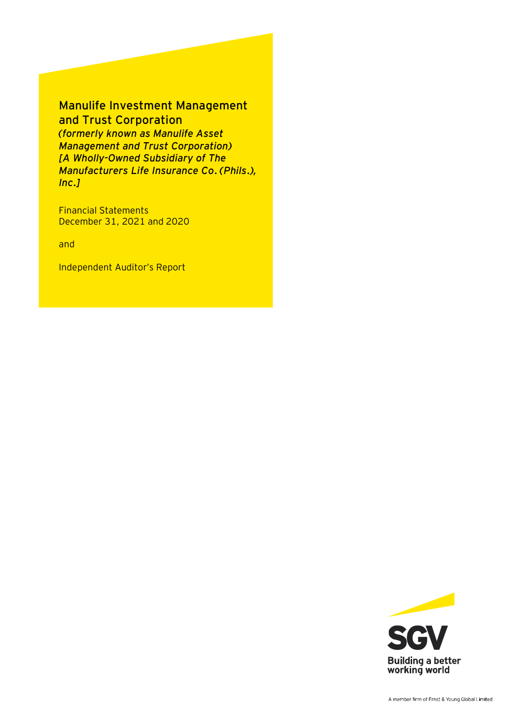# Manulife Investment Management and Trust Corporation

*(formerly known as Manulife Asset Management and Trust Corporation) [A Wholly-Owned Subsidiary of The Manufacturers Life Insurance Co. (Phils.), Inc.]*

Financial Statements December 31, 2021 and 2020

and

Independent Auditor's Report

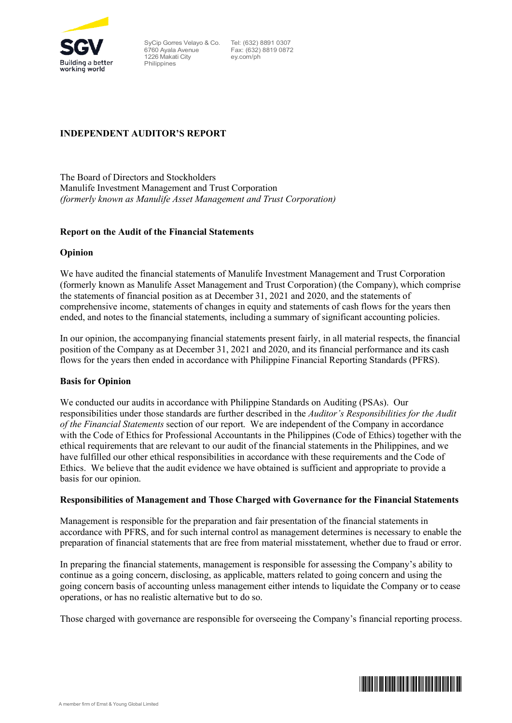

SyCip Gorres Velayo & Co. 6760 Ayala Avenue 1226 Makati City Philippines

 Tel: (632) 8891 0307 Fax: (632) 8819 0872 ey.com/ph

# **INDEPENDENT AUDITOR'S REPORT**

The Board of Directors and Stockholders Manulife Investment Management and Trust Corporation *(formerly known as Manulife Asset Management and Trust Corporation)*

### **Report on the Audit of the Financial Statements**

### **Opinion**

We have audited the financial statements of Manulife Investment Management and Trust Corporation (formerly known as Manulife Asset Management and Trust Corporation) (the Company), which comprise the statements of financial position as at December 31, 2021 and 2020, and the statements of comprehensive income, statements of changes in equity and statements of cash flows for the years then ended, and notes to the financial statements, including a summary of significant accounting policies.

In our opinion, the accompanying financial statements present fairly, in all material respects, the financial position of the Company as at December 31, 2021 and 2020, and its financial performance and its cash flows for the years then ended in accordance with Philippine Financial Reporting Standards (PFRS).

### **Basis for Opinion**

We conducted our audits in accordance with Philippine Standards on Auditing (PSAs). Our responsibilities under those standards are further described in the *Auditor's Responsibilities for the Audit of the Financial Statements* section of our report. We are independent of the Company in accordance with the Code of Ethics for Professional Accountants in the Philippines (Code of Ethics) together with the ethical requirements that are relevant to our audit of the financial statements in the Philippines, and we have fulfilled our other ethical responsibilities in accordance with these requirements and the Code of Ethics. We believe that the audit evidence we have obtained is sufficient and appropriate to provide a basis for our opinion.

### **Responsibilities of Management and Those Charged with Governance for the Financial Statements**

Management is responsible for the preparation and fair presentation of the financial statements in accordance with PFRS, and for such internal control as management determines is necessary to enable the preparation of financial statements that are free from material misstatement, whether due to fraud or error.

In preparing the financial statements, management is responsible for assessing the Company's ability to continue as a going concern, disclosing, as applicable, matters related to going concern and using the going concern basis of accounting unless management either intends to liquidate the Company or to cease operations, or has no realistic alternative but to do so.

Those charged with governance are responsible for overseeing the Company's financial reporting process.

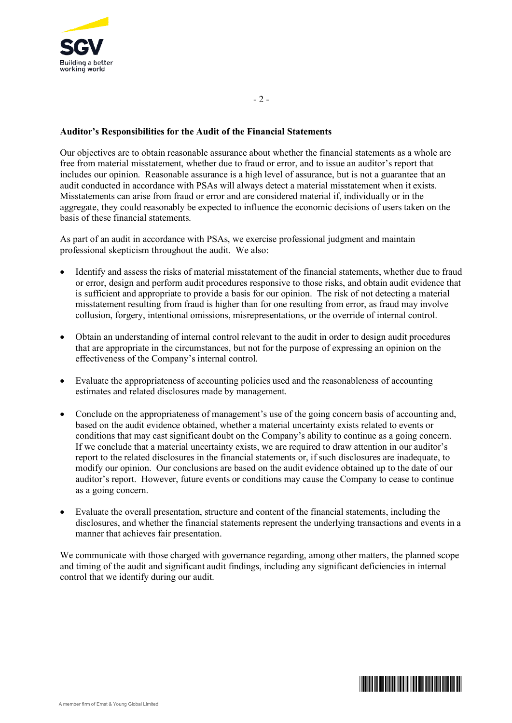

# **Auditor's Responsibilities for the Audit of the Financial Statements**

Our objectives are to obtain reasonable assurance about whether the financial statements as a whole are free from material misstatement, whether due to fraud or error, and to issue an auditor's report that includes our opinion. Reasonable assurance is a high level of assurance, but is not a guarantee that an audit conducted in accordance with PSAs will always detect a material misstatement when it exists. Misstatements can arise from fraud or error and are considered material if, individually or in the aggregate, they could reasonably be expected to influence the economic decisions of users taken on the basis of these financial statements.

As part of an audit in accordance with PSAs, we exercise professional judgment and maintain professional skepticism throughout the audit. We also:

- Identify and assess the risks of material misstatement of the financial statements, whether due to fraud or error, design and perform audit procedures responsive to those risks, and obtain audit evidence that is sufficient and appropriate to provide a basis for our opinion. The risk of not detecting a material misstatement resulting from fraud is higher than for one resulting from error, as fraud may involve collusion, forgery, intentional omissions, misrepresentations, or the override of internal control.
- Obtain an understanding of internal control relevant to the audit in order to design audit procedures that are appropriate in the circumstances, but not for the purpose of expressing an opinion on the effectiveness of the Company's internal control.
- Evaluate the appropriateness of accounting policies used and the reasonableness of accounting estimates and related disclosures made by management.
- Conclude on the appropriateness of management's use of the going concern basis of accounting and, based on the audit evidence obtained, whether a material uncertainty exists related to events or conditions that may cast significant doubt on the Company's ability to continue as a going concern. If we conclude that a material uncertainty exists, we are required to draw attention in our auditor's report to the related disclosures in the financial statements or, if such disclosures are inadequate, to modify our opinion. Our conclusions are based on the audit evidence obtained up to the date of our auditor's report. However, future events or conditions may cause the Company to cease to continue as a going concern.
- Evaluate the overall presentation, structure and content of the financial statements, including the disclosures, and whether the financial statements represent the underlying transactions and events in a manner that achieves fair presentation.

We communicate with those charged with governance regarding, among other matters, the planned scope and timing of the audit and significant audit findings, including any significant deficiencies in internal control that we identify during our audit.

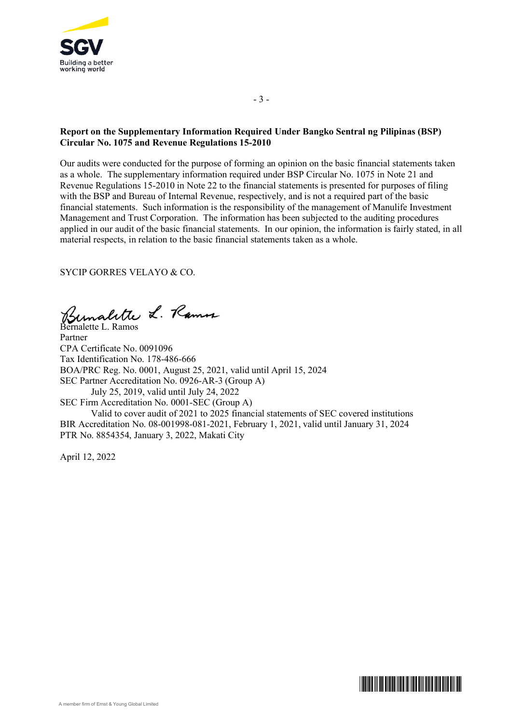

# **Report on the Supplementary Information Required Under Bangko Sentral ng Pilipinas (BSP) Circular No. 1075 and Revenue Regulations 15-2010**

- 3 -

Our audits were conducted for the purpose of forming an opinion on the basic financial statements taken as a whole. The supplementary information required under BSP Circular No. 1075 in Note 21 and Revenue Regulations 15-2010 in Note 22 to the financial statements is presented for purposes of filing with the BSP and Bureau of Internal Revenue, respectively, and is not a required part of the basic financial statements. Such information is the responsibility of the management of Manulife Investment Management and Trust Corporation. The information has been subjected to the auditing procedures applied in our audit of the basic financial statements. In our opinion, the information is fairly stated, in all material respects, in relation to the basic financial statements taken as a whole.

SYCIP GORRES VELAYO & CO.

Bernalette L. Ramos

Partner CPA Certificate No. 0091096 Tax Identification No. 178-486-666 BOA/PRC Reg. No. 0001, August 25, 2021, valid until April 15, 2024 SEC Partner Accreditation No. 0926-AR-3 (Group A) July 25, 2019, valid until July 24, 2022 SEC Firm Accreditation No. 0001-SEC (Group A) Valid to cover audit of 2021 to 2025 financial statements of SEC covered institutions BIR Accreditation No. 08-001998-081-2021, February 1, 2021, valid until January 31, 2024 PTR No. 8854354, January 3, 2022, Makati City

April 12, 2022

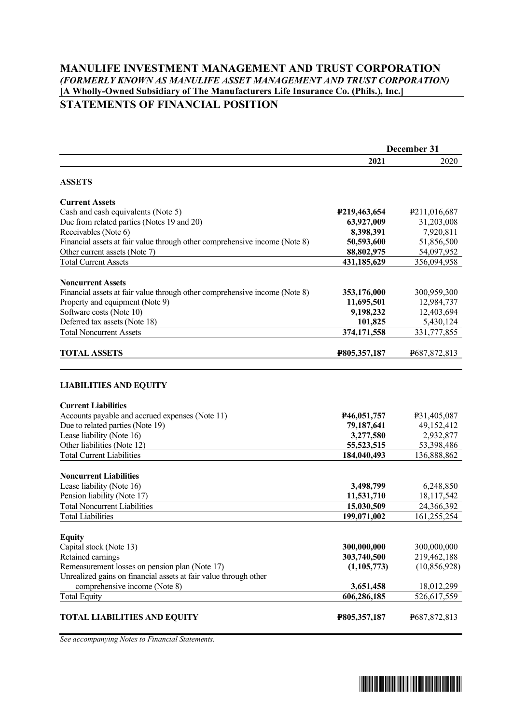# **MANULIFE INVESTMENT MANAGEMENT AND TRUST CORPORATION** *(FORMERLY KNOWN AS MANULIFE ASSET MANAGEMENT AND TRUST CORPORATION)* **[A Wholly-Owned Subsidiary of The Manufacturers Life Insurance Co. (Phils.), Inc.] STATEMENTS OF FINANCIAL POSITION**

|                                                                               | December 31   |                |  |
|-------------------------------------------------------------------------------|---------------|----------------|--|
|                                                                               | 2021          | 2020           |  |
| <b>ASSETS</b>                                                                 |               |                |  |
| <b>Current Assets</b>                                                         |               |                |  |
| Cash and cash equivalents (Note 5)                                            | P219,463,654  | P211,016,687   |  |
| Due from related parties (Notes 19 and 20)                                    | 63,927,009    | 31,203,008     |  |
| Receivables (Note 6)                                                          | 8,398,391     | 7,920,811      |  |
| Financial assets at fair value through other comprehensive income (Note 8)    | 50,593,600    | 51,856,500     |  |
| Other current assets (Note 7)                                                 | 88,802,975    | 54,097,952     |  |
| <b>Total Current Assets</b>                                                   | 431,185,629   | 356,094,958    |  |
| <b>Noncurrent Assets</b>                                                      |               |                |  |
| Financial assets at fair value through other comprehensive income (Note 8)    | 353,176,000   | 300,959,300    |  |
| Property and equipment (Note 9)                                               | 11,695,501    | 12,984,737     |  |
| Software costs (Note 10)                                                      | 9,198,232     | 12,403,694     |  |
| Deferred tax assets (Note 18)                                                 | 101,825       | 5,430,124      |  |
| <b>Total Noncurrent Assets</b>                                                | 374,171,558   | 331,777,855    |  |
| <b>TOTAL ASSETS</b>                                                           | P805,357,187  | P687, 872, 813 |  |
| <b>Current Liabilities</b><br>Accounts payable and accrued expenses (Note 11) | P46,051,757   | P31,405,087    |  |
| Due to related parties (Note 19)                                              | 79,187,641    | 49,152,412     |  |
| Lease liability (Note 16)                                                     | 3,277,580     | 2,932,877      |  |
| Other liabilities (Note 12)                                                   | 55,523,515    | 53,398,486     |  |
| <b>Total Current Liabilities</b>                                              | 184,040,493   | 136,888,862    |  |
| <b>Noncurrent Liabilities</b>                                                 |               |                |  |
| Lease liability (Note 16)                                                     | 3,498,799     | 6,248,850      |  |
| Pension liability (Note 17)                                                   | 11,531,710    | 18,117,542     |  |
| <b>Total Noncurrent Liabilities</b>                                           | 15,030,509    | 24,366,392     |  |
| <b>Total Liabilities</b>                                                      | 199,071,002   | 161,255,254    |  |
| <b>Equity</b>                                                                 |               |                |  |
| Capital stock (Note 13)                                                       | 300,000,000   | 300,000,000    |  |
| Retained earnings                                                             | 303,740,500   | 219,462,188    |  |
| Remeasurement losses on pension plan (Note 17)                                | (1, 105, 773) | (10, 856, 928) |  |
| Unrealized gains on financial assets at fair value through other              |               |                |  |
| comprehensive income (Note 8)                                                 | 3,651,458     | 18,012,299     |  |
| <b>Total Equity</b>                                                           | 606,286,185   | 526,617,559    |  |
| TOTAL LIABILITIES AND EQUITY                                                  | P805,357,187  | P687, 872, 813 |  |

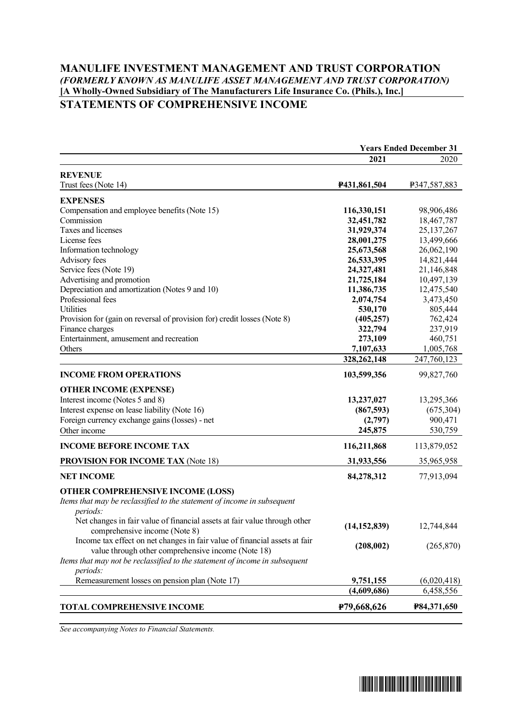# **MANULIFE INVESTMENT MANAGEMENT AND TRUST CORPORATION** *(FORMERLY KNOWN AS MANULIFE ASSET MANAGEMENT AND TRUST CORPORATION)* **[A Wholly-Owned Subsidiary of The Manufacturers Life Insurance Co. (Phils.), Inc.] STATEMENTS OF COMPREHENSIVE INCOME**

|                                                                                                            | <b>Years Ended December 31</b> |                    |
|------------------------------------------------------------------------------------------------------------|--------------------------------|--------------------|
|                                                                                                            | 2021                           | 2020               |
| <b>REVENUE</b>                                                                                             |                                |                    |
| Trust fees (Note 14)                                                                                       | P431,861,504                   | P347,587,883       |
| <b>EXPENSES</b>                                                                                            |                                |                    |
| Compensation and employee benefits (Note 15)                                                               | 116,330,151                    | 98,906,486         |
| Commission                                                                                                 | 32,451,782                     | 18,467,787         |
| Taxes and licenses                                                                                         | 31,929,374                     | 25, 137, 267       |
| License fees                                                                                               | 28,001,275                     | 13,499,666         |
| Information technology                                                                                     | 25,673,568                     | 26,062,190         |
| Advisory fees                                                                                              | 26,533,395                     | 14,821,444         |
| Service fees (Note 19)                                                                                     | 24,327,481                     | 21,146,848         |
| Advertising and promotion                                                                                  | 21,725,184                     | 10,497,139         |
| Depreciation and amortization (Notes 9 and 10)                                                             | 11,386,735                     | 12,475,540         |
| Professional fees                                                                                          | 2,074,754                      | 3,473,450          |
| Utilities                                                                                                  | 530,170                        | 805,444            |
| Provision for (gain on reversal of provision for) credit losses (Note 8)                                   | (405, 257)                     | 762,424            |
| Finance charges                                                                                            | 322,794                        | 237,919            |
| Entertainment, amusement and recreation                                                                    | 273,109                        | 460,751            |
| Others                                                                                                     | 7,107,633                      | 1,005,768          |
|                                                                                                            | 328, 262, 148                  | 247,760,123        |
| <b>INCOME FROM OPERATIONS</b>                                                                              | 103,599,356                    | 99,827,760         |
| <b>OTHER INCOME (EXPENSE)</b>                                                                              |                                |                    |
| Interest income (Notes 5 and 8)                                                                            | 13,237,027                     | 13,295,366         |
| Interest expense on lease liability (Note 16)                                                              | (867, 593)                     | (675,304)          |
| Foreign currency exchange gains (losses) - net                                                             | (2,797)                        | 900,471            |
| Other income                                                                                               | 245,875                        | 530,759            |
| <b>INCOME BEFORE INCOME TAX</b>                                                                            | 116,211,868                    | 113,879,052        |
| <b>PROVISION FOR INCOME TAX (Note 18)</b>                                                                  | 31,933,556                     | 35,965,958         |
|                                                                                                            |                                |                    |
| <b>NET INCOME</b>                                                                                          | 84,278,312                     | 77,913,094         |
| <b>OTHER COMPREHENSIVE INCOME (LOSS)</b>                                                                   |                                |                    |
| Items that may be reclassified to the statement of income in subsequent                                    |                                |                    |
| periods:                                                                                                   |                                |                    |
| Net changes in fair value of financial assets at fair value through other<br>comprehensive income (Note 8) | (14, 152, 839)                 | 12,744,844         |
| Income tax effect on net changes in fair value of financial assets at fair                                 | (208,002)                      | (265, 870)         |
| value through other comprehensive income (Note 18)                                                         |                                |                    |
| Items that may not be reclassified to the statement of income in subsequent                                |                                |                    |
| periods:                                                                                                   |                                |                    |
| Remeasurement losses on pension plan (Note 17)                                                             | 9,751,155                      | (6,020,418)        |
|                                                                                                            | (4,609,686)                    | 6,458,556          |
| <b>TOTAL COMPREHENSIVE INCOME</b>                                                                          | P79,668,626                    | <b>P84,371,650</b> |
|                                                                                                            |                                |                    |

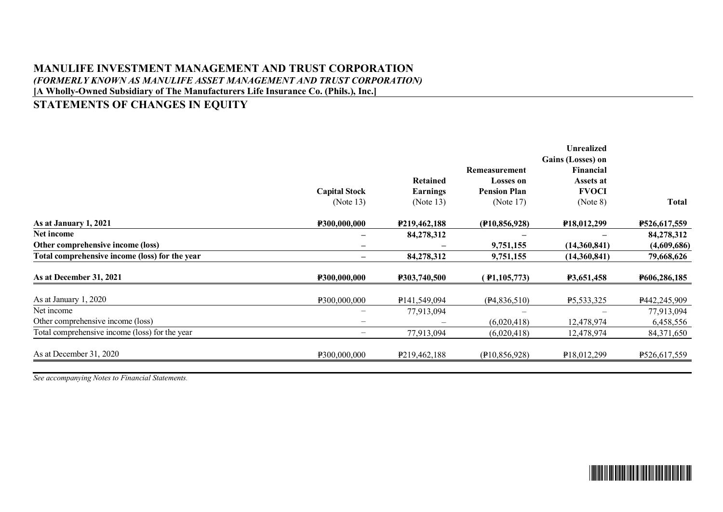# **MANULIFE INVESTMENT MANAGEMENT AND TRUST CORPORATION** *(FORMERLY KNOWN AS MANULIFE ASSET MANAGEMENT AND TRUST CORPORATION)* **[A Wholly-Owned Subsidiary of The Manufacturers Life Insurance Co. (Phils.), Inc.]**

# **STATEMENTS OF CHANGES IN EQUITY**

|                                                | <b>Capital Stock</b><br>(Note $13$ ) | <b>Retained</b><br><b>Earnings</b><br>(Note $13$ ) | Remeasurement<br><b>Losses on</b><br><b>Pension Plan</b><br>(Note $17$ ) | <b>Unrealized</b><br>Gains (Losses) on<br>Financial<br>Assets at<br><b>FVOCI</b><br>(Note 8) | <b>Total</b>        |
|------------------------------------------------|--------------------------------------|----------------------------------------------------|--------------------------------------------------------------------------|----------------------------------------------------------------------------------------------|---------------------|
| As at January 1, 2021                          | P300,000,000                         | P <sub>219</sub> , 462, 188                        | (F10, 856, 928)                                                          | P18,012,299                                                                                  | P526,617,559        |
| Net income                                     | —                                    | 84,278,312                                         |                                                                          |                                                                                              | 84,278,312          |
| Other comprehensive income (loss)              | —                                    |                                                    | 9,751,155                                                                | (14,360,841)                                                                                 | (4,609,686)         |
| Total comprehensive income (loss) for the year | —                                    | 84,278,312                                         | 9,751,155                                                                | (14,360,841)                                                                                 | 79,668,626          |
| As at December 31, 2021                        | <b>P300,000,000</b>                  | <b>P303,740,500</b>                                | $($ <b>P</b> 1,105,773)                                                  | <b>P3,651,458</b>                                                                            | <b>P606,286,185</b> |
| As at January 1, 2020                          | P300,000,000                         | P <sub>141</sub> , 549, 094                        | (P4,836,510)                                                             | P5,533,325                                                                                   | P442,245,909        |
| Net income                                     |                                      | 77,913,094                                         |                                                                          |                                                                                              | 77,913,094          |
| Other comprehensive income (loss)              | —                                    |                                                    | (6,020,418)                                                              | 12,478,974                                                                                   | 6,458,556           |
| Total comprehensive income (loss) for the year | $\overline{\phantom{0}}$             | 77,913,094                                         | (6,020,418)                                                              | 12,478,974                                                                                   | 84,371,650          |
| As at December 31, 2020                        | P300,000,000                         | P <sub>219</sub> , 462, 188                        | (P10, 856, 928)                                                          | P18,012,299                                                                                  | P526,617,559        |

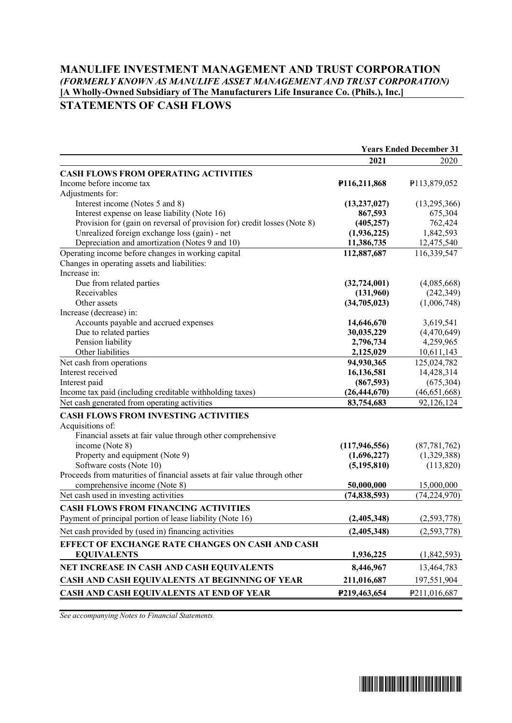# **MANULIFE INVESTMENT MANAGEMENT AND TRUST CORPORATION** *(FORMERLY KNOWN AS MANULIFE ASSET MANAGEMENT AND TRUST CORPORATION)* **[A Wholly-Owned Subsidiary of The Manufacturers Life Insurance Co. (Phils.), Inc.] STATEMENTS OF CASH FLOWS**

|                                                                          | <b>Years Ended December 31</b> |                |
|--------------------------------------------------------------------------|--------------------------------|----------------|
|                                                                          | 2021                           | 2020           |
| <b>CASH FLOWS FROM OPERATING ACTIVITIES</b>                              |                                |                |
| Income before income tax                                                 | P116,211,868                   | P113,879,052   |
| Adjustments for:                                                         |                                |                |
| Interest income (Notes 5 and 8)                                          | (13, 237, 027)                 | (13,295,366)   |
| Interest expense on lease liability (Note 16)                            | 867,593                        | 675,304        |
| Provision for (gain on reversal of provision for) credit losses (Note 8) | (405, 257)                     | 762,424        |
| Unrealized foreign exchange loss (gain) - net                            | (1,936,225)                    | 1,842,593      |
| Depreciation and amortization (Notes 9 and 10)                           | 11,386,735                     | 12,475,540     |
| Operating income before changes in working capital                       | 112,887,687                    | 116,339,547    |
| Changes in operating assets and liabilities:                             |                                |                |
| Increase in:                                                             |                                |                |
| Due from related parties                                                 | (32, 724, 001)                 | (4,085,668)    |
| Receivables                                                              | (131,960)                      | (242, 349)     |
| Other assets                                                             | (34,705,023)                   | (1,006,748)    |
| Increase (decrease) in:                                                  |                                |                |
| Accounts payable and accrued expenses                                    | 14,646,670                     | 3,619,541      |
| Due to related parties                                                   | 30,035,229                     | (4,470,649)    |
| Pension liability                                                        | 2,796,734                      | 4,259,965      |
| Other liabilities                                                        | 2,125,029                      | 10,611,143     |
| Net cash from operations                                                 | 94,930,365                     | 125,024,782    |
| Interest received                                                        | 16,136,581                     | 14,428,314     |
| Interest paid                                                            | (867,593)                      | (675, 304)     |
| Income tax paid (including creditable withholding taxes)                 | (26, 444, 670)                 | (46, 651, 668) |
| Net cash generated from operating activities                             | 83,754,683                     | 92,126,124     |
| <b>CASH FLOWS FROM INVESTING ACTIVITIES</b>                              |                                |                |
| Acquisitions of:                                                         |                                |                |
| Financial assets at fair value through other comprehensive               |                                |                |
| income (Note 8)                                                          | (117, 946, 556)                | (87, 781, 762) |
| Property and equipment (Note 9)                                          | (1,696,227)                    | (1,329,388)    |
| Software costs (Note 10)                                                 | (5, 195, 810)                  | (113,820)      |
| Proceeds from maturities of financial assets at fair value through other |                                |                |
| comprehensive income (Note 8)                                            | 50,000,000                     | 15,000,000     |
| Net cash used in investing activities                                    | (74, 838, 593)                 | (74, 224, 970) |
| <b>CASH FLOWS FROM FINANCING ACTIVITIES</b>                              |                                |                |
| Payment of principal portion of lease liability (Note 16)                | (2,405,348)                    | (2,593,778)    |
| Net cash provided by (used in) financing activities                      | (2,405,348)                    | (2, 593, 778)  |
| EFFECT OF EXCHANGE RATE CHANGES ON CASH AND CASH                         |                                |                |
| <b>EQUIVALENTS</b>                                                       | 1,936,225                      | (1,842,593)    |
| NET INCREASE IN CASH AND CASH EQUIVALENTS                                | 8,446,967                      | 13,464,783     |
| CASH AND CASH EQUIVALENTS AT BEGINNING OF YEAR                           | 211,016,687                    | 197,551,904    |
| CASH AND CASH EQUIVALENTS AT END OF YEAR                                 | P219,463,654                   | P211,016,687   |

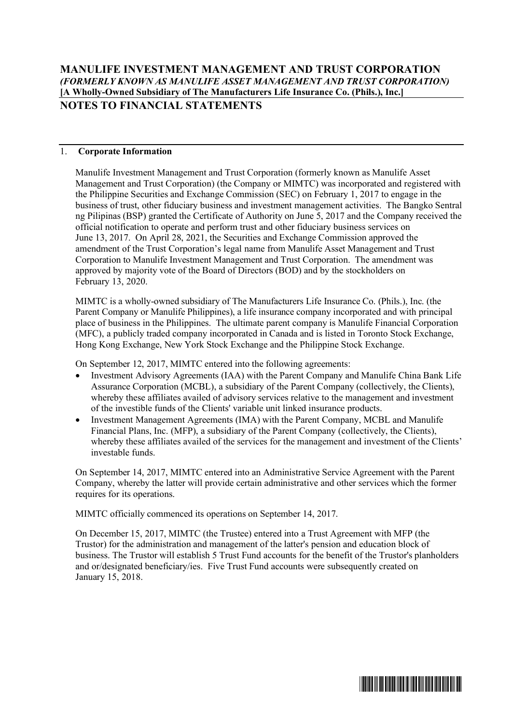### 1. **Corporate Information**

Manulife Investment Management and Trust Corporation (formerly known as Manulife Asset Management and Trust Corporation) (the Company or MIMTC) was incorporated and registered with the Philippine Securities and Exchange Commission (SEC) on February 1, 2017 to engage in the business of trust, other fiduciary business and investment management activities. The Bangko Sentral ng Pilipinas (BSP) granted the Certificate of Authority on June 5, 2017 and the Company received the official notification to operate and perform trust and other fiduciary business services on June 13, 2017. On April 28, 2021, the Securities and Exchange Commission approved the amendment of the Trust Corporation's legal name from Manulife Asset Management and Trust Corporation to Manulife Investment Management and Trust Corporation. The amendment was approved by majority vote of the Board of Directors (BOD) and by the stockholders on February 13, 2020.

MIMTC is a wholly-owned subsidiary of The Manufacturers Life Insurance Co. (Phils.), Inc. (the Parent Company or Manulife Philippines), a life insurance company incorporated and with principal place of business in the Philippines. The ultimate parent company is Manulife Financial Corporation (MFC), a publicly traded company incorporated in Canada and is listed in Toronto Stock Exchange, Hong Kong Exchange, New York Stock Exchange and the Philippine Stock Exchange.

On September 12, 2017, MIMTC entered into the following agreements:

- Investment Advisory Agreements (IAA) with the Parent Company and Manulife China Bank Life Assurance Corporation (MCBL), a subsidiary of the Parent Company (collectively, the Clients), whereby these affiliates availed of advisory services relative to the management and investment of the investible funds of the Clients' variable unit linked insurance products.
- Investment Management Agreements (IMA) with the Parent Company, MCBL and Manulife Financial Plans, Inc. (MFP), a subsidiary of the Parent Company (collectively, the Clients), whereby these affiliates availed of the services for the management and investment of the Clients' investable funds.

On September 14, 2017, MIMTC entered into an Administrative Service Agreement with the Parent Company, whereby the latter will provide certain administrative and other services which the former requires for its operations.

MIMTC officially commenced its operations on September 14, 2017.

On December 15, 2017, MIMTC (the Trustee) entered into a Trust Agreement with MFP (the Trustor) for the administration and management of the latter's pension and education block of business. The Trustor will establish 5 Trust Fund accounts for the benefit of the Trustor's planholders and or/designated beneficiary/ies. Five Trust Fund accounts were subsequently created on January 15, 2018.

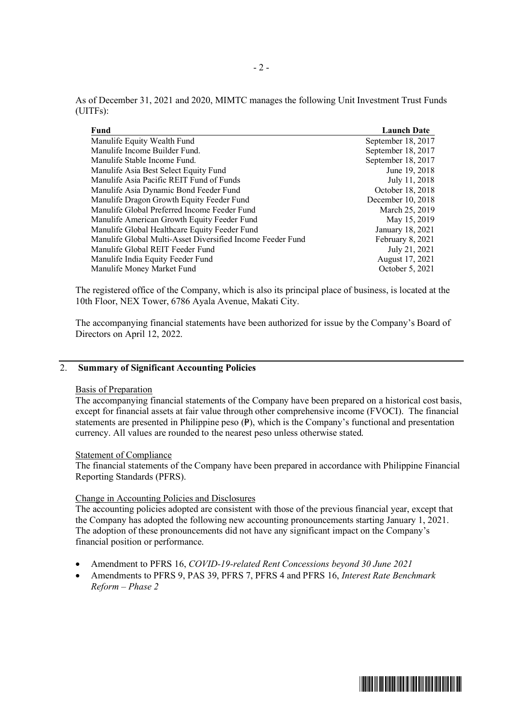| As of December 31, 2021 and 2020, MIMTC manages the following Unit Investment Trust Funds |  |  |  |
|-------------------------------------------------------------------------------------------|--|--|--|
| (UITFs):                                                                                  |  |  |  |

| Fund                                                       | <b>Launch Date</b> |
|------------------------------------------------------------|--------------------|
| Manulife Equity Wealth Fund                                | September 18, 2017 |
| Manulife Income Builder Fund.                              | September 18, 2017 |
| Manulife Stable Income Fund.                               | September 18, 2017 |
| Manulife Asia Best Select Equity Fund                      | June 19, 2018      |
| Manulife Asia Pacific REIT Fund of Funds                   | July 11, 2018      |
| Manulife Asia Dynamic Bond Feeder Fund                     | October 18, 2018   |
| Manulife Dragon Growth Equity Feeder Fund                  | December 10, 2018  |
| Manulife Global Preferred Income Feeder Fund               | March 25, 2019     |
| Manulife American Growth Equity Feeder Fund                | May 15, 2019       |
| Manulife Global Healthcare Equity Feeder Fund              | January 18, 2021   |
| Manulife Global Multi-Asset Diversified Income Feeder Fund | February 8, 2021   |
| Manulife Global REIT Feeder Fund                           | July 21, 2021      |
| Manulife India Equity Feeder Fund                          | August 17, 2021    |
| Manulife Money Market Fund                                 | October 5, 2021    |
|                                                            |                    |

The registered office of the Company, which is also its principal place of business, is located at the 10th Floor, NEX Tower, 6786 Ayala Avenue, Makati City.

The accompanying financial statements have been authorized for issue by the Company's Board of Directors on April 12, 2022.

# 2. **Summary of Significant Accounting Policies**

### Basis of Preparation

The accompanying financial statements of the Company have been prepared on a historical cost basis, except for financial assets at fair value through other comprehensive income (FVOCI). The financial statements are presented in Philippine peso  $(P)$ , which is the Company's functional and presentation currency. All values are rounded to the nearest peso unless otherwise stated.

#### Statement of Compliance

The financial statements of the Company have been prepared in accordance with Philippine Financial Reporting Standards (PFRS).

# Change in Accounting Policies and Disclosures

The accounting policies adopted are consistent with those of the previous financial year, except that the Company has adopted the following new accounting pronouncements starting January 1, 2021. The adoption of these pronouncements did not have any significant impact on the Company's financial position or performance.

- Amendment to PFRS 16, *COVID-19-related Rent Concessions beyond 30 June 2021*
- Amendments to PFRS 9, PAS 39, PFRS 7, PFRS 4 and PFRS 16, *Interest Rate Benchmark Reform – Phase 2*

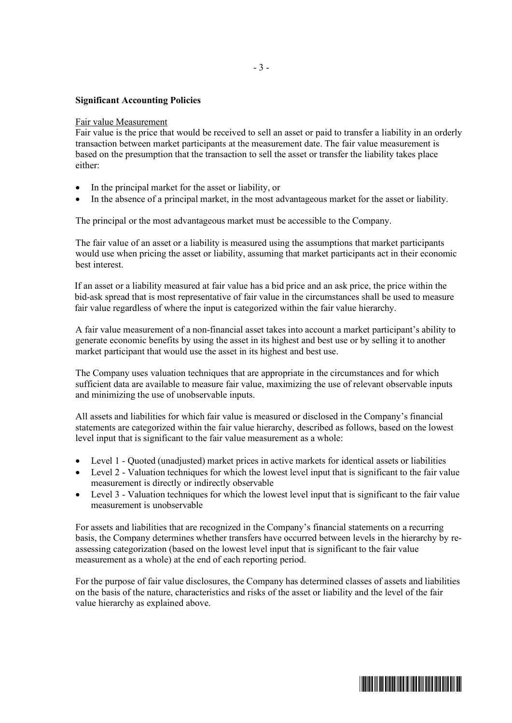### **Significant Accounting Policies**

#### Fair value Measurement

Fair value is the price that would be received to sell an asset or paid to transfer a liability in an orderly transaction between market participants at the measurement date. The fair value measurement is based on the presumption that the transaction to sell the asset or transfer the liability takes place either:

- In the principal market for the asset or liability, or
- In the absence of a principal market, in the most advantageous market for the asset or liability.

The principal or the most advantageous market must be accessible to the Company.

The fair value of an asset or a liability is measured using the assumptions that market participants would use when pricing the asset or liability, assuming that market participants act in their economic best interest.

If an asset or a liability measured at fair value has a bid price and an ask price, the price within the bid-ask spread that is most representative of fair value in the circumstances shall be used to measure fair value regardless of where the input is categorized within the fair value hierarchy.

A fair value measurement of a non-financial asset takes into account a market participant's ability to generate economic benefits by using the asset in its highest and best use or by selling it to another market participant that would use the asset in its highest and best use.

The Company uses valuation techniques that are appropriate in the circumstances and for which sufficient data are available to measure fair value, maximizing the use of relevant observable inputs and minimizing the use of unobservable inputs.

All assets and liabilities for which fair value is measured or disclosed in the Company's financial statements are categorized within the fair value hierarchy, described as follows, based on the lowest level input that is significant to the fair value measurement as a whole:

- Level 1 Quoted (unadjusted) market prices in active markets for identical assets or liabilities
- Level 2 Valuation techniques for which the lowest level input that is significant to the fair value measurement is directly or indirectly observable
- Level 3 Valuation techniques for which the lowest level input that is significant to the fair value measurement is unobservable

For assets and liabilities that are recognized in the Company's financial statements on a recurring basis, the Company determines whether transfers have occurred between levels in the hierarchy by reassessing categorization (based on the lowest level input that is significant to the fair value measurement as a whole) at the end of each reporting period.

For the purpose of fair value disclosures, the Company has determined classes of assets and liabilities on the basis of the nature, characteristics and risks of the asset or liability and the level of the fair value hierarchy as explained above.

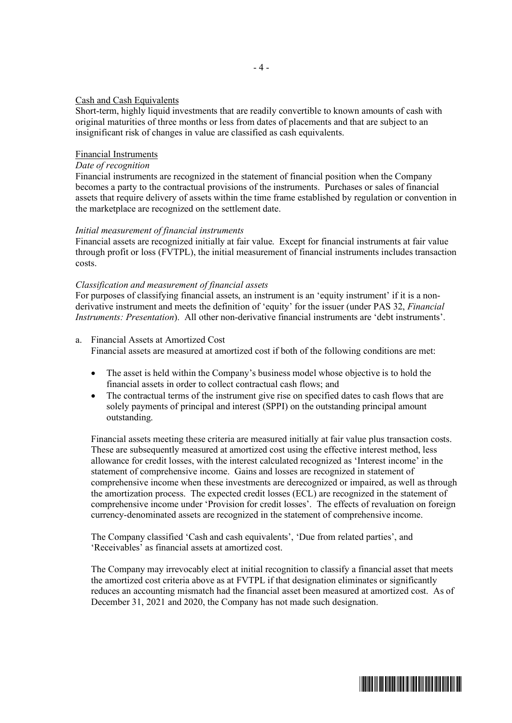#### Cash and Cash Equivalents

Short-term, highly liquid investments that are readily convertible to known amounts of cash with original maturities of three months or less from dates of placements and that are subject to an insignificant risk of changes in value are classified as cash equivalents.

#### Financial Instruments

# *Date of recognition*

Financial instruments are recognized in the statement of financial position when the Company becomes a party to the contractual provisions of the instruments. Purchases or sales of financial assets that require delivery of assets within the time frame established by regulation or convention in the marketplace are recognized on the settlement date.

#### *Initial measurement of financial instruments*

Financial assets are recognized initially at fair value. Except for financial instruments at fair value through profit or loss (FVTPL), the initial measurement of financial instruments includes transaction costs.

#### *Classification and measurement of financial assets*

For purposes of classifying financial assets, an instrument is an 'equity instrument' if it is a nonderivative instrument and meets the definition of 'equity' for the issuer (under PAS 32, *Financial Instruments: Presentation*). All other non-derivative financial instruments are 'debt instruments'.

- a. Financial Assets at Amortized Cost Financial assets are measured at amortized cost if both of the following conditions are met:
	- The asset is held within the Company's business model whose objective is to hold the financial assets in order to collect contractual cash flows; and
	- The contractual terms of the instrument give rise on specified dates to cash flows that are solely payments of principal and interest (SPPI) on the outstanding principal amount outstanding.

Financial assets meeting these criteria are measured initially at fair value plus transaction costs. These are subsequently measured at amortized cost using the effective interest method, less allowance for credit losses, with the interest calculated recognized as 'Interest income' in the statement of comprehensive income. Gains and losses are recognized in statement of comprehensive income when these investments are derecognized or impaired, as well as through the amortization process. The expected credit losses (ECL) are recognized in the statement of comprehensive income under 'Provision for credit losses'. The effects of revaluation on foreign currency-denominated assets are recognized in the statement of comprehensive income.

The Company classified 'Cash and cash equivalents', 'Due from related parties', and 'Receivables' as financial assets at amortized cost.

The Company may irrevocably elect at initial recognition to classify a financial asset that meets the amortized cost criteria above as at FVTPL if that designation eliminates or significantly reduces an accounting mismatch had the financial asset been measured at amortized cost. As of December 31, 2021 and 2020, the Company has not made such designation.

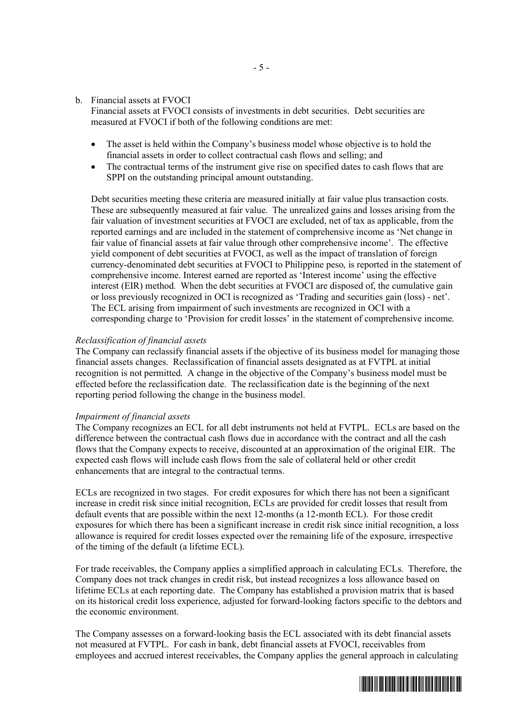#### b. Financial assets at FVOCI

Financial assets at FVOCI consists of investments in debt securities. Debt securities are measured at FVOCI if both of the following conditions are met:

- The asset is held within the Company's business model whose objective is to hold the financial assets in order to collect contractual cash flows and selling; and
- The contractual terms of the instrument give rise on specified dates to cash flows that are SPPI on the outstanding principal amount outstanding.

Debt securities meeting these criteria are measured initially at fair value plus transaction costs. These are subsequently measured at fair value. The unrealized gains and losses arising from the fair valuation of investment securities at FVOCI are excluded, net of tax as applicable, from the reported earnings and are included in the statement of comprehensive income as 'Net change in fair value of financial assets at fair value through other comprehensive income'. The effective yield component of debt securities at FVOCI, as well as the impact of translation of foreign currency-denominated debt securities at FVOCI to Philippine peso, is reported in the statement of comprehensive income. Interest earned are reported as 'Interest income' using the effective interest (EIR) method. When the debt securities at FVOCI are disposed of, the cumulative gain or loss previously recognized in OCI is recognized as 'Trading and securities gain (loss) - net'. The ECL arising from impairment of such investments are recognized in OCI with a corresponding charge to 'Provision for credit losses' in the statement of comprehensive income.

#### *Reclassification of financial assets*

The Company can reclassify financial assets if the objective of its business model for managing those financial assets changes. Reclassification of financial assets designated as at FVTPL at initial recognition is not permitted. A change in the objective of the Company's business model must be effected before the reclassification date. The reclassification date is the beginning of the next reporting period following the change in the business model.

#### *Impairment of financial assets*

The Company recognizes an ECL for all debt instruments not held at FVTPL. ECLs are based on the difference between the contractual cash flows due in accordance with the contract and all the cash flows that the Company expects to receive, discounted at an approximation of the original EIR. The expected cash flows will include cash flows from the sale of collateral held or other credit enhancements that are integral to the contractual terms.

ECLs are recognized in two stages. For credit exposures for which there has not been a significant increase in credit risk since initial recognition, ECLs are provided for credit losses that result from default events that are possible within the next 12-months (a 12-month ECL). For those credit exposures for which there has been a significant increase in credit risk since initial recognition, a loss allowance is required for credit losses expected over the remaining life of the exposure, irrespective of the timing of the default (a lifetime ECL).

For trade receivables, the Company applies a simplified approach in calculating ECLs. Therefore, the Company does not track changes in credit risk, but instead recognizes a loss allowance based on lifetime ECLs at each reporting date. The Company has established a provision matrix that is based on its historical credit loss experience, adjusted for forward-looking factors specific to the debtors and the economic environment.

The Company assesses on a forward-looking basis the ECL associated with its debt financial assets not measured at FVTPL. For cash in bank, debt financial assets at FVOCI, receivables from employees and accrued interest receivables, the Company applies the general approach in calculating

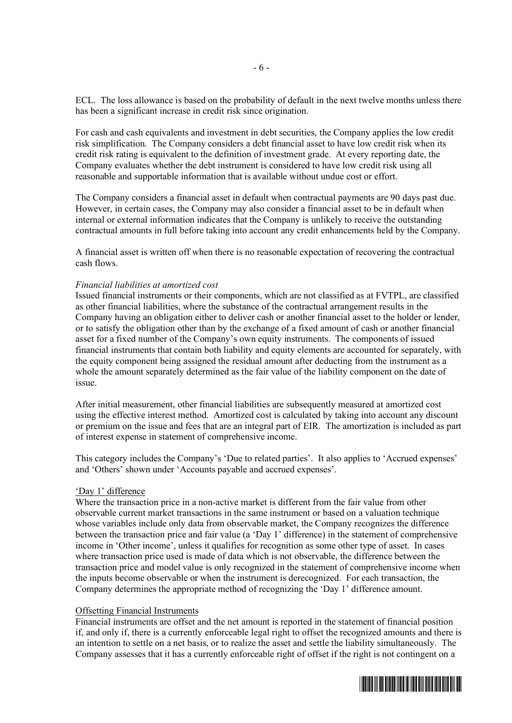ECL. The loss allowance is based on the probability of default in the next twelve months unless there has been a significant increase in credit risk since origination.

For cash and cash equivalents and investment in debt securities, the Company applies the low credit risk simplification. The Company considers a debt financial asset to have low credit risk when its credit risk rating is equivalent to the definition of investment grade. At every reporting date, the Company evaluates whether the debt instrument is considered to have low credit risk using all reasonable and supportable information that is available without undue cost or effort.

The Company considers a financial asset in default when contractual payments are 90 days past due. However, in certain cases, the Company may also consider a financial asset to be in default when internal or external information indicates that the Company is unlikely to receive the outstanding contractual amounts in full before taking into account any credit enhancements held by the Company.

A financial asset is written off when there is no reasonable expectation of recovering the contractual cash flows.

#### *Financial liabilities at amortized cost*

Issued financial instruments or their components, which are not classified as at FVTPL, are classified as other financial liabilities, where the substance of the contractual arrangement results in the Company having an obligation either to deliver cash or another financial asset to the holder or lender, or to satisfy the obligation other than by the exchange of a fixed amount of cash or another financial asset for a fixed number of the Company's own equity instruments. The components of issued financial instruments that contain both liability and equity elements are accounted for separately, with the equity component being assigned the residual amount after deducting from the instrument as a whole the amount separately determined as the fair value of the liability component on the date of issue.

After initial measurement, other financial liabilities are subsequently measured at amortized cost using the effective interest method. Amortized cost is calculated by taking into account any discount or premium on the issue and fees that are an integral part of EIR. The amortization is included as part of interest expense in statement of comprehensive income.

This category includes the Company's 'Due to related parties'. It also applies to 'Accrued expenses' and 'Others' shown under 'Accounts payable and accrued expenses'.

#### 'Day 1' difference

Where the transaction price in a non-active market is different from the fair value from other observable current market transactions in the same instrument or based on a valuation technique whose variables include only data from observable market, the Company recognizes the difference between the transaction price and fair value (a 'Day 1' difference) in the statement of comprehensive income in 'Other income', unless it qualifies for recognition as some other type of asset. In cases where transaction price used is made of data which is not observable, the difference between the transaction price and model value is only recognized in the statement of comprehensive income when the inputs become observable or when the instrument is derecognized. For each transaction, the Company determines the appropriate method of recognizing the 'Day 1' difference amount.

#### Offsetting Financial Instruments

Financial instruments are offset and the net amount is reported in the statement of financial position if, and only if, there is a currently enforceable legal right to offset the recognized amounts and there is an intention to settle on a net basis, or to realize the asset and settle the liability simultaneously. The Company assesses that it has a currently enforceable right of offset if the right is not contingent on a

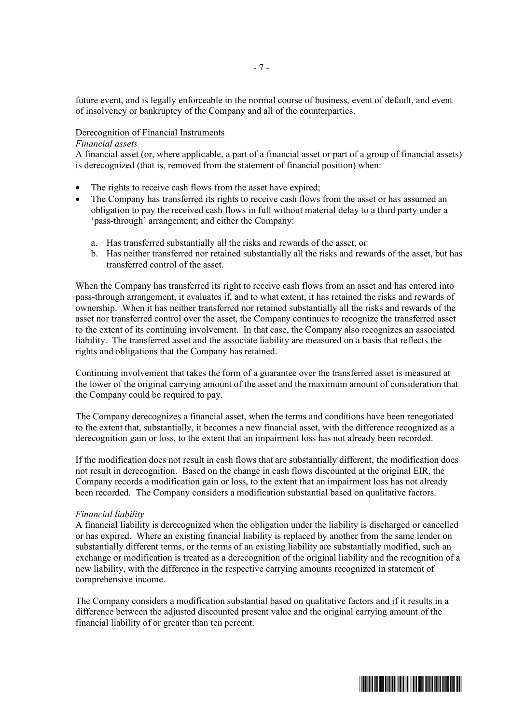future event, and is legally enforceable in the normal course of business, event of default, and event of insolvency or bankruptcy of the Company and all of the counterparties.

#### Derecognition of Financial Instruments

### *Financial assets*

A financial asset (or, where applicable, a part of a financial asset or part of a group of financial assets) is derecognized (that is, removed from the statement of financial position) when:

- The rights to receive cash flows from the asset have expired;
- The Company has transferred its rights to receive cash flows from the asset or has assumed an obligation to pay the received cash flows in full without material delay to a third party under a 'pass-through' arrangement; and either the Company:
	- a. Has transferred substantially all the risks and rewards of the asset, or
	- b. Has neither transferred nor retained substantially all the risks and rewards of the asset, but has transferred control of the asset.

When the Company has transferred its right to receive cash flows from an asset and has entered into pass-through arrangement, it evaluates if, and to what extent, it has retained the risks and rewards of ownership. When it has neither transferred nor retained substantially all the risks and rewards of the asset nor transferred control over the asset, the Company continues to recognize the transferred asset to the extent of its continuing involvement. In that case, the Company also recognizes an associated liability. The transferred asset and the associate liability are measured on a basis that reflects the rights and obligations that the Company has retained.

Continuing involvement that takes the form of a guarantee over the transferred asset is measured at the lower of the original carrying amount of the asset and the maximum amount of consideration that the Company could be required to pay.

The Company derecognizes a financial asset, when the terms and conditions have been renegotiated to the extent that, substantially, it becomes a new financial asset, with the difference recognized as a derecognition gain or loss, to the extent that an impairment loss has not already been recorded.

If the modification does not result in cash flows that are substantially different, the modification does not result in derecognition. Based on the change in cash flows discounted at the original EIR, the Company records a modification gain or loss, to the extent that an impairment loss has not already been recorded. The Company considers a modification substantial based on qualitative factors.

#### *Financial liability*

A financial liability is derecognized when the obligation under the liability is discharged or cancelled or has expired. Where an existing financial liability is replaced by another from the same lender on substantially different terms, or the terms of an existing liability are substantially modified, such an exchange or modification is treated as a derecognition of the original liability and the recognition of a new liability, with the difference in the respective carrying amounts recognized in statement of comprehensive income.

The Company considers a modification substantial based on qualitative factors and if it results in a difference between the adjusted discounted present value and the original carrying amount of the financial liability of or greater than ten percent.

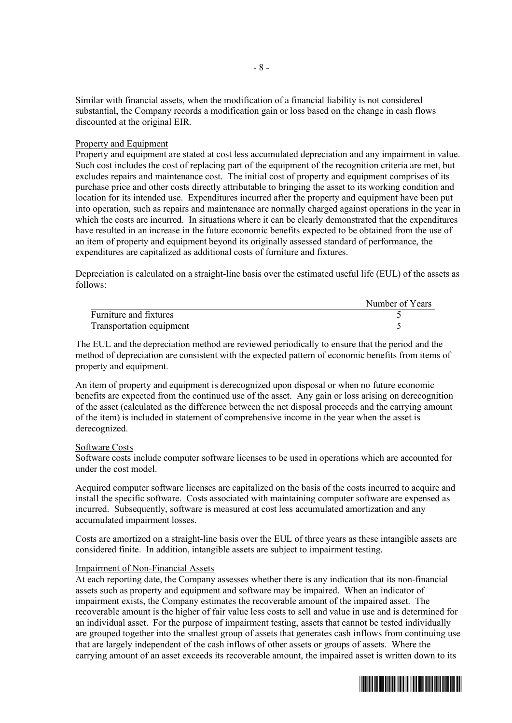Similar with financial assets, when the modification of a financial liability is not considered substantial, the Company records a modification gain or loss based on the change in cash flows discounted at the original EIR.

#### Property and Equipment

Property and equipment are stated at cost less accumulated depreciation and any impairment in value. Such cost includes the cost of replacing part of the equipment of the recognition criteria are met, but excludes repairs and maintenance cost. The initial cost of property and equipment comprises of its purchase price and other costs directly attributable to bringing the asset to its working condition and location for its intended use. Expenditures incurred after the property and equipment have been put into operation, such as repairs and maintenance are normally charged against operations in the year in which the costs are incurred. In situations where it can be clearly demonstrated that the expenditures have resulted in an increase in the future economic benefits expected to be obtained from the use of an item of property and equipment beyond its originally assessed standard of performance, the expenditures are capitalized as additional costs of furniture and fixtures.

Depreciation is calculated on a straight-line basis over the estimated useful life (EUL) of the assets as follows:

|                          | Number of Years |
|--------------------------|-----------------|
| Furniture and fixtures   |                 |
| Transportation equipment |                 |

The EUL and the depreciation method are reviewed periodically to ensure that the period and the method of depreciation are consistent with the expected pattern of economic benefits from items of property and equipment.

An item of property and equipment is derecognized upon disposal or when no future economic benefits are expected from the continued use of the asset. Any gain or loss arising on derecognition of the asset (calculated as the difference between the net disposal proceeds and the carrying amount of the item) is included in statement of comprehensive income in the year when the asset is derecognized.

### Software Costs

Software costs include computer software licenses to be used in operations which are accounted for under the cost model.

Acquired computer software licenses are capitalized on the basis of the costs incurred to acquire and install the specific software. Costs associated with maintaining computer software are expensed as incurred. Subsequently, software is measured at cost less accumulated amortization and any accumulated impairment losses.

Costs are amortized on a straight-line basis over the EUL of three years as these intangible assets are considered finite. In addition, intangible assets are subject to impairment testing.

### Impairment of Non-Financial Assets

At each reporting date, the Company assesses whether there is any indication that its non-financial assets such as property and equipment and software may be impaired. When an indicator of impairment exists, the Company estimates the recoverable amount of the impaired asset. The recoverable amount is the higher of fair value less costs to sell and value in use and is determined for an individual asset. For the purpose of impairment testing, assets that cannot be tested individually are grouped together into the smallest group of assets that generates cash inflows from continuing use that are largely independent of the cash inflows of other assets or groups of assets. Where the carrying amount of an asset exceeds its recoverable amount, the impaired asset is written down to its

Number of Years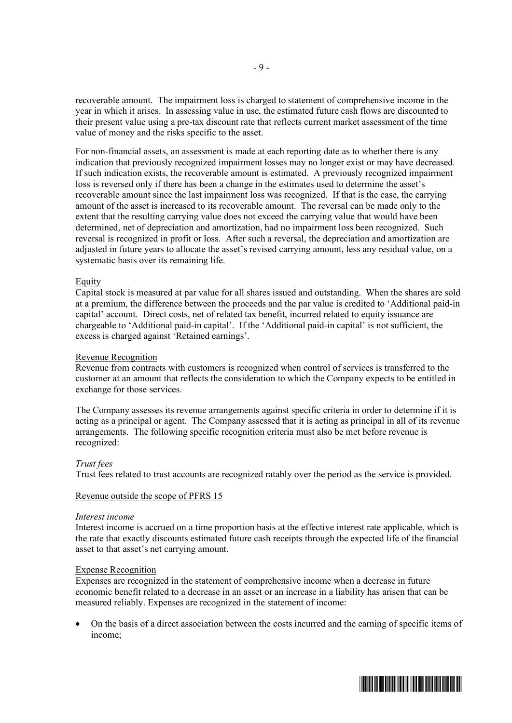recoverable amount. The impairment loss is charged to statement of comprehensive income in the year in which it arises. In assessing value in use, the estimated future cash flows are discounted to their present value using a pre-tax discount rate that reflects current market assessment of the time value of money and the risks specific to the asset.

For non-financial assets, an assessment is made at each reporting date as to whether there is any indication that previously recognized impairment losses may no longer exist or may have decreased. If such indication exists, the recoverable amount is estimated. A previously recognized impairment loss is reversed only if there has been a change in the estimates used to determine the asset's recoverable amount since the last impairment loss was recognized. If that is the case, the carrying amount of the asset is increased to its recoverable amount. The reversal can be made only to the extent that the resulting carrying value does not exceed the carrying value that would have been determined, net of depreciation and amortization, had no impairment loss been recognized. Such reversal is recognized in profit or loss. After such a reversal, the depreciation and amortization are adjusted in future years to allocate the asset's revised carrying amount, less any residual value, on a systematic basis over its remaining life.

### Equity

Capital stock is measured at par value for all shares issued and outstanding. When the shares are sold at a premium, the difference between the proceeds and the par value is credited to 'Additional paid-in capital' account. Direct costs, net of related tax benefit, incurred related to equity issuance are chargeable to 'Additional paid-in capital'. If the 'Additional paid-in capital' is not sufficient, the excess is charged against 'Retained earnings'.

#### Revenue Recognition

Revenue from contracts with customers is recognized when control of services is transferred to the customer at an amount that reflects the consideration to which the Company expects to be entitled in exchange for those services.

The Company assesses its revenue arrangements against specific criteria in order to determine if it is acting as a principal or agent. The Company assessed that it is acting as principal in all of its revenue arrangements. The following specific recognition criteria must also be met before revenue is recognized:

#### *Trust fees*

Trust fees related to trust accounts are recognized ratably over the period as the service is provided.

#### Revenue outside the scope of PFRS 15

#### *Interest income*

Interest income is accrued on a time proportion basis at the effective interest rate applicable, which is the rate that exactly discounts estimated future cash receipts through the expected life of the financial asset to that asset's net carrying amount.

#### Expense Recognition

Expenses are recognized in the statement of comprehensive income when a decrease in future economic benefit related to a decrease in an asset or an increase in a liability has arisen that can be measured reliably. Expenses are recognized in the statement of income:

 On the basis of a direct association between the costs incurred and the earning of specific items of income;

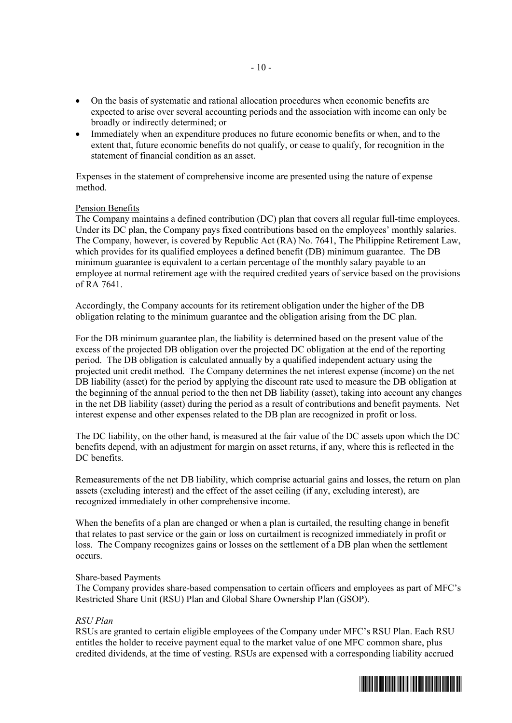- On the basis of systematic and rational allocation procedures when economic benefits are expected to arise over several accounting periods and the association with income can only be broadly or indirectly determined; or
- Immediately when an expenditure produces no future economic benefits or when, and to the extent that, future economic benefits do not qualify, or cease to qualify, for recognition in the statement of financial condition as an asset.

Expenses in the statement of comprehensive income are presented using the nature of expense method.

#### Pension Benefits

The Company maintains a defined contribution (DC) plan that covers all regular full-time employees. Under its DC plan, the Company pays fixed contributions based on the employees' monthly salaries. The Company, however, is covered by Republic Act (RA) No. 7641, The Philippine Retirement Law, which provides for its qualified employees a defined benefit (DB) minimum guarantee. The DB minimum guarantee is equivalent to a certain percentage of the monthly salary payable to an employee at normal retirement age with the required credited years of service based on the provisions of RA 7641.

Accordingly, the Company accounts for its retirement obligation under the higher of the DB obligation relating to the minimum guarantee and the obligation arising from the DC plan.

For the DB minimum guarantee plan, the liability is determined based on the present value of the excess of the projected DB obligation over the projected DC obligation at the end of the reporting period. The DB obligation is calculated annually by a qualified independent actuary using the projected unit credit method. The Company determines the net interest expense (income) on the net DB liability (asset) for the period by applying the discount rate used to measure the DB obligation at the beginning of the annual period to the then net DB liability (asset), taking into account any changes in the net DB liability (asset) during the period as a result of contributions and benefit payments. Net interest expense and other expenses related to the DB plan are recognized in profit or loss.

The DC liability, on the other hand, is measured at the fair value of the DC assets upon which the DC benefits depend, with an adjustment for margin on asset returns, if any, where this is reflected in the DC benefits.

Remeasurements of the net DB liability, which comprise actuarial gains and losses, the return on plan assets (excluding interest) and the effect of the asset ceiling (if any, excluding interest), are recognized immediately in other comprehensive income.

When the benefits of a plan are changed or when a plan is curtailed, the resulting change in benefit that relates to past service or the gain or loss on curtailment is recognized immediately in profit or loss. The Company recognizes gains or losses on the settlement of a DB plan when the settlement occurs.

#### Share-based Payments

The Company provides share-based compensation to certain officers and employees as part of MFC's Restricted Share Unit (RSU) Plan and Global Share Ownership Plan (GSOP).

### *RSU Plan*

RSUs are granted to certain eligible employees of the Company under MFC's RSU Plan. Each RSU entitles the holder to receive payment equal to the market value of one MFC common share, plus credited dividends, at the time of vesting. RSUs are expensed with a corresponding liability accrued

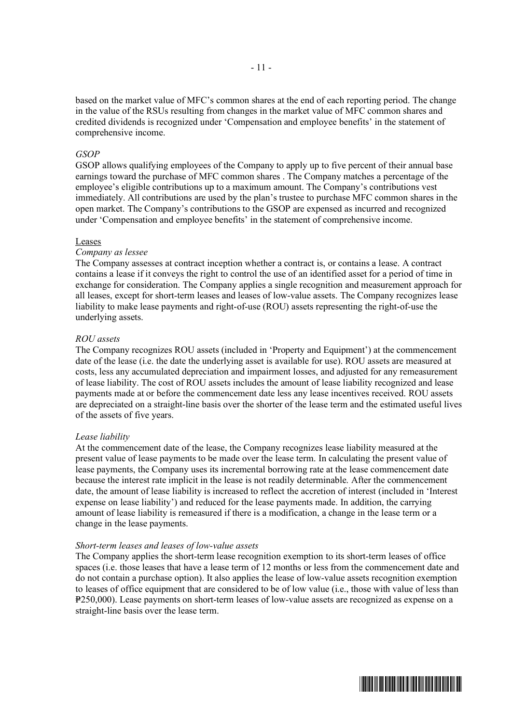based on the market value of MFC's common shares at the end of each reporting period. The change in the value of the RSUs resulting from changes in the market value of MFC common shares and credited dividends is recognized under 'Compensation and employee benefits' in the statement of comprehensive income.

#### *GSOP*

GSOP allows qualifying employees of the Company to apply up to five percent of their annual base earnings toward the purchase of MFC common shares . The Company matches a percentage of the employee's eligible contributions up to a maximum amount. The Company's contributions vest immediately. All contributions are used by the plan's trustee to purchase MFC common shares in the open market. The Company's contributions to the GSOP are expensed as incurred and recognized under 'Compensation and employee benefits' in the statement of comprehensive income.

#### Leases

#### *Company as lessee*

The Company assesses at contract inception whether a contract is, or contains a lease. A contract contains a lease if it conveys the right to control the use of an identified asset for a period of time in exchange for consideration. The Company applies a single recognition and measurement approach for all leases, except for short-term leases and leases of low-value assets. The Company recognizes lease liability to make lease payments and right-of-use (ROU) assets representing the right-of-use the underlying assets.

#### *ROU assets*

The Company recognizes ROU assets (included in 'Property and Equipment') at the commencement date of the lease (i.e. the date the underlying asset is available for use). ROU assets are measured at costs, less any accumulated depreciation and impairment losses, and adjusted for any remeasurement of lease liability. The cost of ROU assets includes the amount of lease liability recognized and lease payments made at or before the commencement date less any lease incentives received. ROU assets are depreciated on a straight-line basis over the shorter of the lease term and the estimated useful lives of the assets of five years.

#### *Lease liability*

At the commencement date of the lease, the Company recognizes lease liability measured at the present value of lease payments to be made over the lease term. In calculating the present value of lease payments, the Company uses its incremental borrowing rate at the lease commencement date because the interest rate implicit in the lease is not readily determinable. After the commencement date, the amount of lease liability is increased to reflect the accretion of interest (included in 'Interest expense on lease liability') and reduced for the lease payments made. In addition, the carrying amount of lease liability is remeasured if there is a modification, a change in the lease term or a change in the lease payments.

#### *Short-term leases and leases of low-value assets*

The Company applies the short-term lease recognition exemption to its short-term leases of office spaces (i.e. those leases that have a lease term of 12 months or less from the commencement date and do not contain a purchase option). It also applies the lease of low-value assets recognition exemption to leases of office equipment that are considered to be of low value (i.e., those with value of less than P250,000). Lease payments on short-term leases of low-value assets are recognized as expense on a straight-line basis over the lease term.

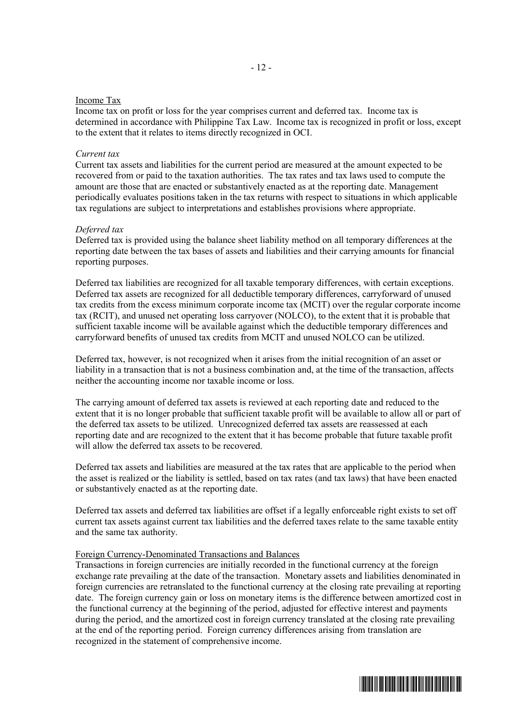#### Income Tax

Income tax on profit or loss for the year comprises current and deferred tax. Income tax is determined in accordance with Philippine Tax Law. Income tax is recognized in profit or loss, except to the extent that it relates to items directly recognized in OCI.

#### *Current tax*

Current tax assets and liabilities for the current period are measured at the amount expected to be recovered from or paid to the taxation authorities. The tax rates and tax laws used to compute the amount are those that are enacted or substantively enacted as at the reporting date. Management periodically evaluates positions taken in the tax returns with respect to situations in which applicable tax regulations are subject to interpretations and establishes provisions where appropriate.

#### *Deferred tax*

Deferred tax is provided using the balance sheet liability method on all temporary differences at the reporting date between the tax bases of assets and liabilities and their carrying amounts for financial reporting purposes.

Deferred tax liabilities are recognized for all taxable temporary differences, with certain exceptions. Deferred tax assets are recognized for all deductible temporary differences, carryforward of unused tax credits from the excess minimum corporate income tax (MCIT) over the regular corporate income tax (RCIT), and unused net operating loss carryover (NOLCO), to the extent that it is probable that sufficient taxable income will be available against which the deductible temporary differences and carryforward benefits of unused tax credits from MCIT and unused NOLCO can be utilized.

Deferred tax, however, is not recognized when it arises from the initial recognition of an asset or liability in a transaction that is not a business combination and, at the time of the transaction, affects neither the accounting income nor taxable income or loss.

The carrying amount of deferred tax assets is reviewed at each reporting date and reduced to the extent that it is no longer probable that sufficient taxable profit will be available to allow all or part of the deferred tax assets to be utilized. Unrecognized deferred tax assets are reassessed at each reporting date and are recognized to the extent that it has become probable that future taxable profit will allow the deferred tax assets to be recovered.

Deferred tax assets and liabilities are measured at the tax rates that are applicable to the period when the asset is realized or the liability is settled, based on tax rates (and tax laws) that have been enacted or substantively enacted as at the reporting date.

Deferred tax assets and deferred tax liabilities are offset if a legally enforceable right exists to set off current tax assets against current tax liabilities and the deferred taxes relate to the same taxable entity and the same tax authority.

#### Foreign Currency-Denominated Transactions and Balances

Transactions in foreign currencies are initially recorded in the functional currency at the foreign exchange rate prevailing at the date of the transaction. Monetary assets and liabilities denominated in foreign currencies are retranslated to the functional currency at the closing rate prevailing at reporting date. The foreign currency gain or loss on monetary items is the difference between amortized cost in the functional currency at the beginning of the period, adjusted for effective interest and payments during the period, and the amortized cost in foreign currency translated at the closing rate prevailing at the end of the reporting period. Foreign currency differences arising from translation are recognized in the statement of comprehensive income.

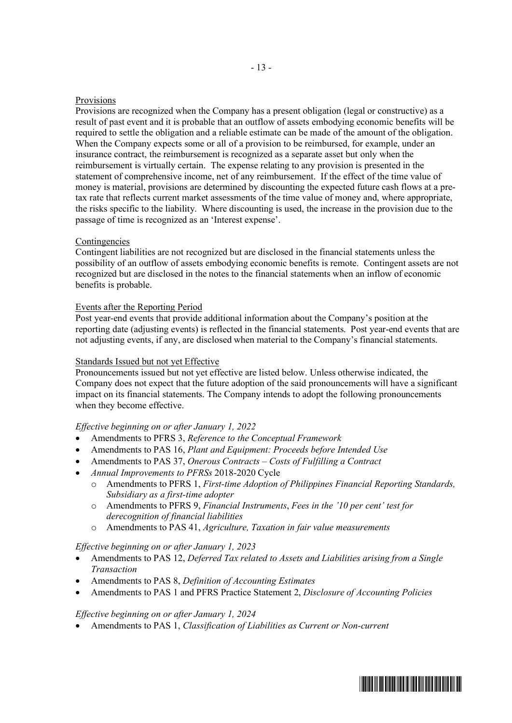### Provisions

Provisions are recognized when the Company has a present obligation (legal or constructive) as a result of past event and it is probable that an outflow of assets embodying economic benefits will be required to settle the obligation and a reliable estimate can be made of the amount of the obligation. When the Company expects some or all of a provision to be reimbursed, for example, under an insurance contract, the reimbursement is recognized as a separate asset but only when the reimbursement is virtually certain. The expense relating to any provision is presented in the statement of comprehensive income, net of any reimbursement. If the effect of the time value of money is material, provisions are determined by discounting the expected future cash flows at a pretax rate that reflects current market assessments of the time value of money and, where appropriate, the risks specific to the liability. Where discounting is used, the increase in the provision due to the passage of time is recognized as an 'Interest expense'.

### Contingencies

Contingent liabilities are not recognized but are disclosed in the financial statements unless the possibility of an outflow of assets embodying economic benefits is remote. Contingent assets are not recognized but are disclosed in the notes to the financial statements when an inflow of economic benefits is probable.

#### Events after the Reporting Period

Post year-end events that provide additional information about the Company's position at the reporting date (adjusting events) is reflected in the financial statements. Post year-end events that are not adjusting events, if any, are disclosed when material to the Company's financial statements.

### Standards Issued but not yet Effective

Pronouncements issued but not yet effective are listed below. Unless otherwise indicated, the Company does not expect that the future adoption of the said pronouncements will have a significant impact on its financial statements. The Company intends to adopt the following pronouncements when they become effective.

#### *Effective beginning on or after January 1, 2022*

- Amendments to PFRS 3, *Reference to the Conceptual Framework*
- Amendments to PAS 16, *Plant and Equipment: Proceeds before Intended Use*
- Amendments to PAS 37, *Onerous Contracts Costs of Fulfilling a Contract*
- *Annual Improvements to PFRSs* 2018-2020 Cycle
	- o Amendments to PFRS 1, *First-time Adoption of Philippines Financial Reporting Standards, Subsidiary as a first-time adopter*
	- o Amendments to PFRS 9, *Financial Instruments*, *Fees in the '10 per cent' test for derecognition of financial liabilities*
	- o Amendments to PAS 41, *Agriculture, Taxation in fair value measurements*

#### *Effective beginning on or after January 1, 2023*

- Amendments to PAS 12, *Deferred Tax related to Assets and Liabilities arising from a Single Transaction*
- Amendments to PAS 8, *Definition of Accounting Estimates*
- Amendments to PAS 1 and PFRS Practice Statement 2, *Disclosure of Accounting Policies*

#### *Effective beginning on or after January 1, 2024*

Amendments to PAS 1, *Classification of Liabilities as Current or Non-current*

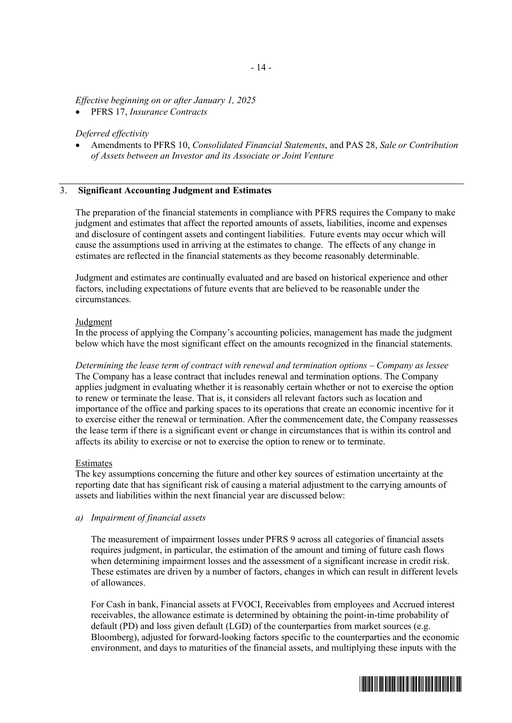*Effective beginning on or after January 1, 2025*

PFRS 17, *Insurance Contracts*

#### *Deferred effectivity*

 Amendments to PFRS 10, *Consolidated Financial Statements*, and PAS 28, *Sale or Contribution of Assets between an Investor and its Associate or Joint Venture*

#### 3. **Significant Accounting Judgment and Estimates**

The preparation of the financial statements in compliance with PFRS requires the Company to make judgment and estimates that affect the reported amounts of assets, liabilities, income and expenses and disclosure of contingent assets and contingent liabilities. Future events may occur which will cause the assumptions used in arriving at the estimates to change. The effects of any change in estimates are reflected in the financial statements as they become reasonably determinable.

Judgment and estimates are continually evaluated and are based on historical experience and other factors, including expectations of future events that are believed to be reasonable under the circumstances.

#### Judgment

In the process of applying the Company's accounting policies, management has made the judgment below which have the most significant effect on the amounts recognized in the financial statements.

*Determining the lease term of contract with renewal and termination options – Company as lessee* The Company has a lease contract that includes renewal and termination options. The Company applies judgment in evaluating whether it is reasonably certain whether or not to exercise the option to renew or terminate the lease. That is, it considers all relevant factors such as location and importance of the office and parking spaces to its operations that create an economic incentive for it to exercise either the renewal or termination. After the commencement date, the Company reassesses the lease term if there is a significant event or change in circumstances that is within its control and affects its ability to exercise or not to exercise the option to renew or to terminate.

#### Estimates

The key assumptions concerning the future and other key sources of estimation uncertainty at the reporting date that has significant risk of causing a material adjustment to the carrying amounts of assets and liabilities within the next financial year are discussed below:

#### *a) Impairment of financial assets*

The measurement of impairment losses under PFRS 9 across all categories of financial assets requires judgment, in particular, the estimation of the amount and timing of future cash flows when determining impairment losses and the assessment of a significant increase in credit risk. These estimates are driven by a number of factors, changes in which can result in different levels of allowances.

For Cash in bank, Financial assets at FVOCI, Receivables from employees and Accrued interest receivables, the allowance estimate is determined by obtaining the point-in-time probability of default (PD) and loss given default (LGD) of the counterparties from market sources (e.g. Bloomberg), adjusted for forward-looking factors specific to the counterparties and the economic environment, and days to maturities of the financial assets, and multiplying these inputs with the

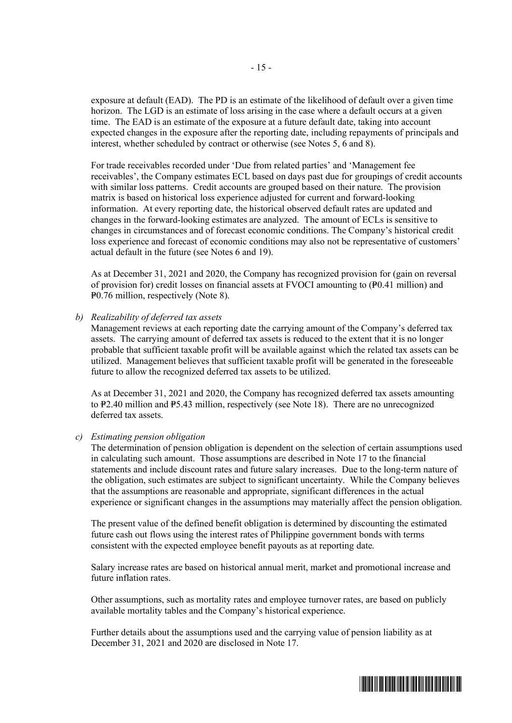exposure at default (EAD). The PD is an estimate of the likelihood of default over a given time horizon. The LGD is an estimate of loss arising in the case where a default occurs at a given time. The EAD is an estimate of the exposure at a future default date, taking into account expected changes in the exposure after the reporting date, including repayments of principals and interest, whether scheduled by contract or otherwise (see Notes 5, 6 and 8).

For trade receivables recorded under 'Due from related parties' and 'Management fee receivables', the Company estimates ECL based on days past due for groupings of credit accounts with similar loss patterns. Credit accounts are grouped based on their nature. The provision matrix is based on historical loss experience adjusted for current and forward-looking information. At every reporting date, the historical observed default rates are updated and changes in the forward-looking estimates are analyzed. The amount of ECLs is sensitive to changes in circumstances and of forecast economic conditions. The Company's historical credit loss experience and forecast of economic conditions may also not be representative of customers' actual default in the future (see Notes 6 and 19).

As at December 31, 2021 and 2020, the Company has recognized provision for (gain on reversal of provision for) credit losses on financial assets at FVOCI amounting to  $(40.41 \text{ million})$  and P0.76 million, respectively (Note 8).

*b) Realizability of deferred tax assets*

Management reviews at each reporting date the carrying amount of the Company's deferred tax assets. The carrying amount of deferred tax assets is reduced to the extent that it is no longer probable that sufficient taxable profit will be available against which the related tax assets can be utilized. Management believes that sufficient taxable profit will be generated in the foreseeable future to allow the recognized deferred tax assets to be utilized.

As at December 31, 2021 and 2020, the Company has recognized deferred tax assets amounting to  $P2.40$  million and P5.43 million, respectively (see Note 18). There are no unrecognized deferred tax assets.

*c) Estimating pension obligation*

The determination of pension obligation is dependent on the selection of certain assumptions used in calculating such amount. Those assumptions are described in Note 17 to the financial statements and include discount rates and future salary increases. Due to the long-term nature of the obligation, such estimates are subject to significant uncertainty. While the Company believes that the assumptions are reasonable and appropriate, significant differences in the actual experience or significant changes in the assumptions may materially affect the pension obligation.

The present value of the defined benefit obligation is determined by discounting the estimated future cash out flows using the interest rates of Philippine government bonds with terms consistent with the expected employee benefit payouts as at reporting date.

Salary increase rates are based on historical annual merit, market and promotional increase and future inflation rates.

Other assumptions, such as mortality rates and employee turnover rates, are based on publicly available mortality tables and the Company's historical experience.

Further details about the assumptions used and the carrying value of pension liability as at December 31, 2021 and 2020 are disclosed in Note 17.

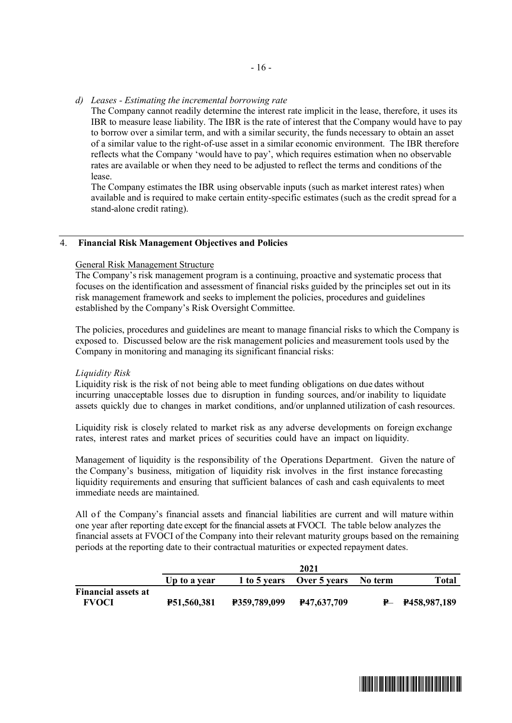*d) Leases - Estimating the incremental borrowing rate*

The Company cannot readily determine the interest rate implicit in the lease, therefore, it uses its IBR to measure lease liability. The IBR is the rate of interest that the Company would have to pay to borrow over a similar term, and with a similar security, the funds necessary to obtain an asset of a similar value to the right-of-use asset in a similar economic environment. The IBR therefore reflects what the Company 'would have to pay', which requires estimation when no observable rates are available or when they need to be adjusted to reflect the terms and conditions of the lease.

The Company estimates the IBR using observable inputs (such as market interest rates) when available and is required to make certain entity-specific estimates (such as the credit spread for a stand-alone credit rating).

#### 4. **Financial Risk Management Objectives and Policies**

# General Risk Management Structure

The Company's risk management program is a continuing, proactive and systematic process that focuses on the identification and assessment of financial risks guided by the principles set out in its risk management framework and seeks to implement the policies, procedures and guidelines established by the Company's Risk Oversight Committee.

The policies, procedures and guidelines are meant to manage financial risks to which the Company is exposed to. Discussed below are the risk management policies and measurement tools used by the Company in monitoring and managing its significant financial risks:

#### *Liquidity Risk*

Liquidity risk is the risk of not being able to meet funding obligations on due dates without incurring unacceptable losses due to disruption in funding sources, and/or inability to liquidate assets quickly due to changes in market conditions, and/or unplanned utilization of cash resources.

Liquidity risk is closely related to market risk as any adverse developments on foreign exchange rates, interest rates and market prices of securities could have an impact on liquidity.

Management of liquidity is the responsibility of the Operations Department. Given the nature of the Company's business, mitigation of liquidity risk involves in the first instance forecasting liquidity requirements and ensuring that sufficient balances of cash and cash equivalents to meet immediate needs are maintained.

All of the Company's financial assets and financial liabilities are current and will mature within one year after reporting date except for the financial assets at FVOCI. The table below analyzes the financial assets at FVOCI of the Company into their relevant maturity groups based on the remaining periods at the reporting date to their contractual maturities or expected repayment dates.

|                            | 2021               |                     |                           |         |                    |  |
|----------------------------|--------------------|---------------------|---------------------------|---------|--------------------|--|
|                            | Up to a year       |                     | 1 to 5 years Over 5 years | No term | Total              |  |
| <b>Financial assets at</b> |                    |                     |                           |         |                    |  |
| <b>FVOCI</b>               | <b>P51,560,381</b> | <b>P359,789,099</b> | <b>P47.637.709</b>        |         | $P - P458,987,189$ |  |

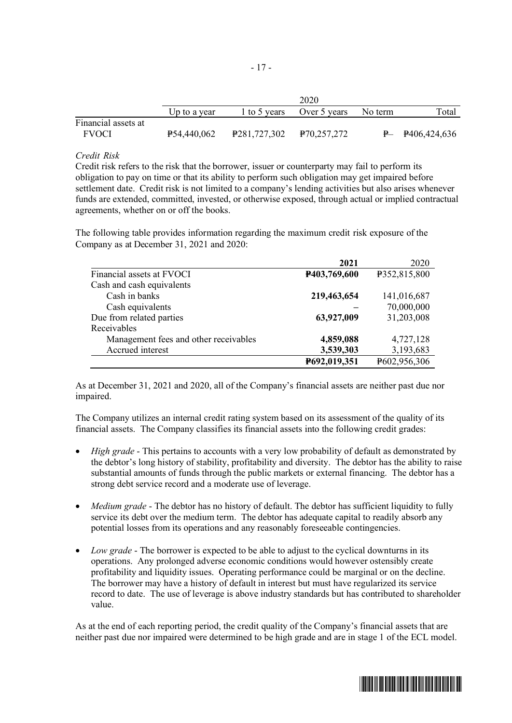|                     | 2020         |                          |              |         |                    |  |  |
|---------------------|--------------|--------------------------|--------------|---------|--------------------|--|--|
|                     | Up to a year | 1 to 5 years             | Over 5 years | No term | Total              |  |  |
| Financial assets at |              |                          |              |         |                    |  |  |
| <b>FVOCI</b>        | P54,440,062  | P281,727,302 P70,257,272 |              |         | $P - P406,424,636$ |  |  |

### *Credit Risk*

Credit risk refers to the risk that the borrower, issuer or counterparty may fail to perform its obligation to pay on time or that its ability to perform such obligation may get impaired before settlement date. Credit risk is not limited to a company's lending activities but also arises whenever funds are extended, committed, invested, or otherwise exposed, through actual or implied contractual agreements, whether on or off the books.

The following table provides information regarding the maximum credit risk exposure of the Company as at December 31, 2021 and 2020:

|                                       | 2021         | 2020         |
|---------------------------------------|--------------|--------------|
| Financial assets at FVOCI             | P403,769,600 | P352,815,800 |
| Cash and cash equivalents             |              |              |
| Cash in banks                         | 219,463,654  | 141,016,687  |
| Cash equivalents                      |              | 70,000,000   |
| Due from related parties              | 63,927,009   | 31,203,008   |
| Receivables                           |              |              |
| Management fees and other receivables | 4,859,088    | 4,727,128    |
| Accrued interest                      | 3,539,303    | 3,193,683    |
|                                       | P692,019,351 | P602,956,306 |

As at December 31, 2021 and 2020, all of the Company's financial assets are neither past due nor impaired.

The Company utilizes an internal credit rating system based on its assessment of the quality of its financial assets. The Company classifies its financial assets into the following credit grades:

- *High grade* This pertains to accounts with a very low probability of default as demonstrated by the debtor's long history of stability, profitability and diversity. The debtor has the ability to raise substantial amounts of funds through the public markets or external financing. The debtor has a strong debt service record and a moderate use of leverage.
- *Medium grade* The debtor has no history of default. The debtor has sufficient liquidity to fully service its debt over the medium term. The debtor has adequate capital to readily absorb any potential losses from its operations and any reasonably foreseeable contingencies.
- *Low grade* The borrower is expected to be able to adjust to the cyclical downturns in its operations. Any prolonged adverse economic conditions would however ostensibly create profitability and liquidity issues. Operating performance could be marginal or on the decline. The borrower may have a history of default in interest but must have regularized its service record to date. The use of leverage is above industry standards but has contributed to shareholder value.

As at the end of each reporting period, the credit quality of the Company's financial assets that are neither past due nor impaired were determined to be high grade and are in stage 1 of the ECL model.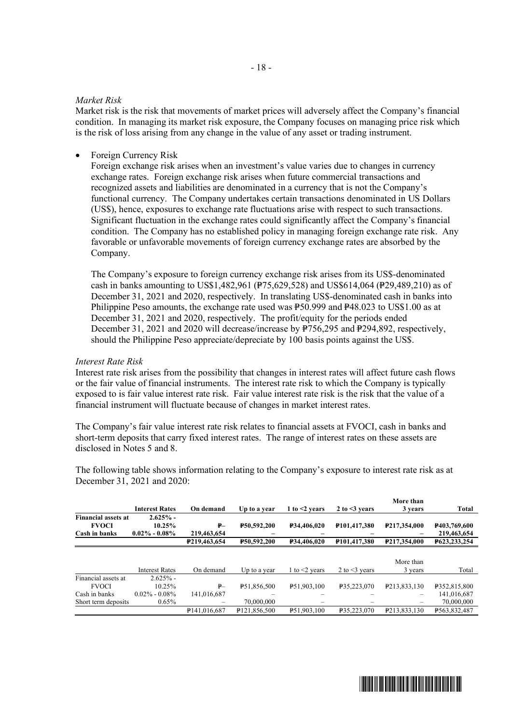### *Market Risk*

Market risk is the risk that movements of market prices will adversely affect the Company's financial condition. In managing its market risk exposure, the Company focuses on managing price risk which is the risk of loss arising from any change in the value of any asset or trading instrument.

Foreign Currency Risk

Foreign exchange risk arises when an investment's value varies due to changes in currency exchange rates. Foreign exchange risk arises when future commercial transactions and recognized assets and liabilities are denominated in a currency that is not the Company's functional currency. The Company undertakes certain transactions denominated in US Dollars (US\$), hence, exposures to exchange rate fluctuations arise with respect to such transactions. Significant fluctuation in the exchange rates could significantly affect the Company's financial condition. The Company has no established policy in managing foreign exchange rate risk. Any favorable or unfavorable movements of foreign currency exchange rates are absorbed by the Company.

The Company's exposure to foreign currency exchange risk arises from its US\$-denominated cash in banks amounting to US\$1,482,961 (P75,629,528) and US\$614,064 (P29,489,210) as of December 31, 2021 and 2020, respectively. In translating US\$-denominated cash in banks into Philippine Peso amounts, the exchange rate used was  $\frac{1}{2}50.999$  and  $\frac{1}{2}48.023$  to US\$1.00 as at December 31, 2021 and 2020, respectively. The profit/equity for the periods ended December 31, 2021 and 2020 will decrease/increase by  $\widehat{P}$ 756,295 and P294,892, respectively, should the Philippine Peso appreciate/depreciate by 100 basis points against the US\$.

#### *Interest Rate Risk*

Interest rate risk arises from the possibility that changes in interest rates will affect future cash flows or the fair value of financial instruments. The interest rate risk to which the Company is typically exposed to is fair value interest rate risk. Fair value interest rate risk is the risk that the value of a financial instrument will fluctuate because of changes in market interest rates.

The Company's fair value interest rate risk relates to financial assets at FVOCI, cash in banks and short-term deposits that carry fixed interest rates. The range of interest rates on these assets are disclosed in Notes 5 and 8.

The following table shows information relating to the Company's exposure to interest rate risk as at December 31, 2021 and 2020:

|                            |                       |                             |                          |                         |                           | More than                   |              |
|----------------------------|-----------------------|-----------------------------|--------------------------|-------------------------|---------------------------|-----------------------------|--------------|
|                            | <b>Interest Rates</b> | On demand                   | Up to a year             | 1 to $<$ 2 years        | 2 to $\leq$ vears         | 3 years                     | Total        |
| <b>Financial assets at</b> | $2.625%$ -            |                             |                          |                         |                           |                             |              |
| <b>FVOCI</b>               | $10.25\%$             | ₽–                          | <b>P50.592.200</b>       | <b>P34.406.020</b>      | P101.417.380              | P217,354,000                | P403,769,600 |
| Cash in banks              | $0.02\% - 0.08\%$     | 219,463,654                 |                          |                         |                           |                             | 219,463,654  |
|                            |                       | P <sub>219</sub> , 463, 654 | <b>P50.592.200</b>       | <b>P34.406.020</b>      | P <sub>101</sub> ,417,380 | P <sub>217</sub> , 354, 000 | P623.233.254 |
|                            |                       |                             |                          |                         |                           |                             |              |
|                            |                       |                             |                          |                         |                           | More than                   |              |
|                            | <b>Interest Rates</b> | On demand                   | Up to a year             | 1 to $\leq$ years       | 2 to $\leq$ 3 years       | 3 years                     | Total        |
| Financial assets at        | $2.625%$ -            |                             |                          |                         |                           |                             |              |
| <b>FVOCI</b>               | 10.25%                | $P -$                       | P <sub>51,856,500</sub>  | P <sub>51,903,100</sub> | P35,223,070               | P213.833.130                | P352,815,800 |
| Cash in banks              | $0.02\% - 0.08\%$     | 141.016.687                 |                          |                         |                           |                             | 141,016,687  |
| Short term deposits        | $0.65\%$              |                             | 70,000,000               |                         |                           |                             | 70,000,000   |
|                            |                       | P <sub>141,016,687</sub>    | P <sub>121,856,500</sub> | P <sub>51,903,100</sub> | P35.223.070               | P <sub>2</sub> 13,833,130   | P563.832.487 |

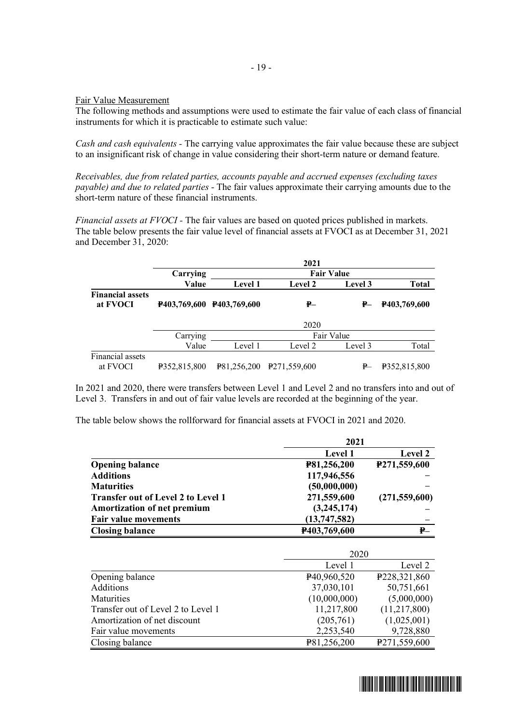Fair Value Measurement

The following methods and assumptions were used to estimate the fair value of each class of financial instruments for which it is practicable to estimate such value:

*Cash and cash equivalents -* The carrying value approximates the fair value because these are subject to an insignificant risk of change in value considering their short-term nature or demand feature.

*Receivables, due from related parties, accounts payable and accrued expenses (excluding taxes payable) and due to related parties* - The fair values approximate their carrying amounts due to the short-term nature of these financial instruments.

*Financial assets at FVOCI -* The fair values are based on quoted prices published in markets. The table below presents the fair value level of financial assets at FVOCI as at December 31, 2021 and December 31, 2020:

|                                     | 2021         |                           |                          |            |              |  |
|-------------------------------------|--------------|---------------------------|--------------------------|------------|--------------|--|
|                                     | Carrying     |                           | <b>Fair Value</b>        |            |              |  |
|                                     | Value        | <b>Level 1</b>            | <b>Level 2</b>           | Level 3    | <b>Total</b> |  |
| <b>Financial assets</b><br>at FVOCI |              | P403,769,600 P403,769,600 | ₽—                       | ₽—         | P403,769,600 |  |
|                                     |              |                           | 2020                     |            |              |  |
|                                     | Carrying     |                           |                          | Fair Value |              |  |
|                                     | Value        | Level 1                   | Level 2                  | Level 3    | Total        |  |
| Financial assets<br>at FVOCI        | P352,815,800 | P81.256.200               | P <sub>271,559,600</sub> | ₽          | P352,815,800 |  |

In 2021 and 2020, there were transfers between Level 1 and Level 2 and no transfers into and out of Level 3. Transfers in and out of fair value levels are recorded at the beginning of the year.

The table below shows the rollforward for financial assets at FVOCI in 2021 and 2020.

|                                           | 2021           |                 |  |
|-------------------------------------------|----------------|-----------------|--|
|                                           | <b>Level 1</b> | <b>Level 2</b>  |  |
| <b>Opening balance</b>                    | P81,256,200    | P271,559,600    |  |
| <b>Additions</b>                          | 117,946,556    |                 |  |
| <b>Maturities</b>                         | (50,000,000)   |                 |  |
| <b>Transfer out of Level 2 to Level 1</b> | 271,559,600    | (271, 559, 600) |  |
| <b>Amortization of net premium</b>        | (3,245,174)    |                 |  |
| <b>Fair value movements</b>               | (13,747,582)   |                 |  |
| <b>Closing balance</b>                    | P403,769,600   | ₽–              |  |

|                                    | 2020         |              |  |
|------------------------------------|--------------|--------------|--|
|                                    | Level 1      | Level 2      |  |
| Opening balance                    | P40,960,520  | P228,321,860 |  |
| Additions                          | 37,030,101   | 50,751,661   |  |
| Maturities                         | (10,000,000) | (5,000,000)  |  |
| Transfer out of Level 2 to Level 1 | 11,217,800   | (11,217,800) |  |
| Amortization of net discount       | (205,761)    | (1,025,001)  |  |
| Fair value movements               | 2,253,540    | 9,728,880    |  |
| Closing balance                    | P81,256,200  | P271,559,600 |  |

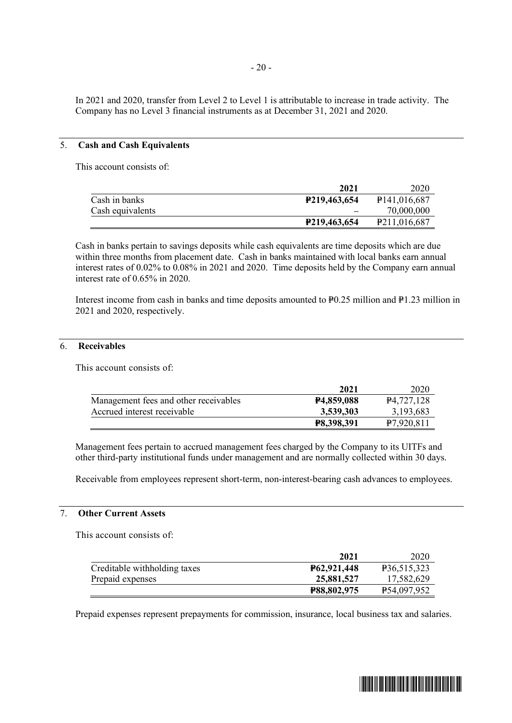In 2021 and 2020, transfer from Level 2 to Level 1 is attributable to increase in trade activity. The Company has no Level 3 financial instruments as at December 31, 2021 and 2020.

### 5. **Cash and Cash Equivalents**

This account consists of:

|                  | 2021                | 2020                      |
|------------------|---------------------|---------------------------|
| Cash in banks    | <b>P219,463,654</b> | P <sub>141</sub> ,016,687 |
| Cash equivalents |                     | 70,000,000                |
|                  | P219,463,654        | P <sub>211</sub> ,016,687 |

Cash in banks pertain to savings deposits while cash equivalents are time deposits which are due within three months from placement date. Cash in banks maintained with local banks earn annual interest rates of 0.02% to 0.08% in 2021 and 2020. Time deposits held by the Company earn annual interest rate of 0.65% in 2020.

Interest income from cash in banks and time deposits amounted to  $P0.25$  million and  $P1.23$  million in 2021 and 2020, respectively.

## 6. **Receivables**

This account consists of:

|                                       | 2021                    | 2020                    |
|---------------------------------------|-------------------------|-------------------------|
| Management fees and other receivables | P <sub>4</sub> ,859,088 | P <sub>4</sub> ,727,128 |
| Accrued interest receivable           | 3,539,303               | 3, 193, 683             |
|                                       | <b>P8,398,391</b>       | P7,920,811              |

Management fees pertain to accrued management fees charged by the Company to its UITFs and other third-party institutional funds under management and are normally collected within 30 days.

Receivable from employees represent short-term, non-interest-bearing cash advances to employees.

### 7. **Other Current Assets**

This account consists of:

|                              | 2021               | 2020        |
|------------------------------|--------------------|-------------|
| Creditable withholding taxes | P62,921,448        | P36,515,323 |
| Prepaid expenses             | 25,881,527         | 17,582,629  |
|                              | <b>P88,802,975</b> | P54,097,952 |

Prepaid expenses represent prepayments for commission, insurance, local business tax and salaries.

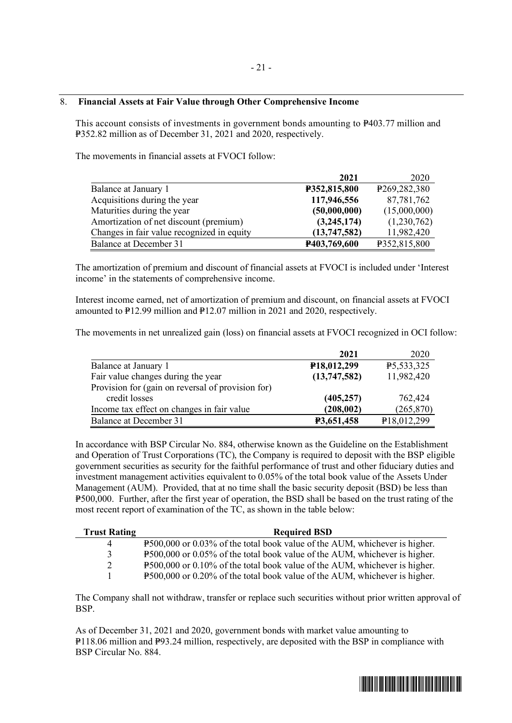### 8. **Financial Assets at Fair Value through Other Comprehensive Income**

This account consists of investments in government bonds amounting to P403.77 million and P352.82 million as of December 31, 2021 and 2020, respectively.

The movements in financial assets at FVOCI follow:

|                                            | 2021         | 2020                        |
|--------------------------------------------|--------------|-----------------------------|
| Balance at January 1                       | P352,815,800 | P <sub>269</sub> , 282, 380 |
| Acquisitions during the year               | 117,946,556  | 87,781,762                  |
| Maturities during the year                 | (50,000,000) | (15,000,000)                |
| Amortization of net discount (premium)     | (3,245,174)  | (1,230,762)                 |
| Changes in fair value recognized in equity | (13,747,582) | 11,982,420                  |
| Balance at December 31                     | P403,769,600 | P352,815,800                |

The amortization of premium and discount of financial assets at FVOCI is included under 'Interest income' in the statements of comprehensive income.

Interest income earned, net of amortization of premium and discount, on financial assets at FVOCI amounted to  $P12.99$  million and  $P12.07$  million in 2021 and 2020, respectively.

The movements in net unrealized gain (loss) on financial assets at FVOCI recognized in OCI follow:

|                                                   | 2021                     | 2020        |
|---------------------------------------------------|--------------------------|-------------|
| Balance at January 1                              | P <sub>18</sub> ,012,299 | P5,533,325  |
| Fair value changes during the year                | (13,747,582)             | 11,982,420  |
| Provision for (gain on reversal of provision for) |                          |             |
| credit losses                                     | (405, 257)               | 762,424     |
| Income tax effect on changes in fair value        | (208,002)                | (265, 870)  |
| Balance at December 31                            | P3,651,458               | P18,012,299 |

In accordance with BSP Circular No. 884, otherwise known as the Guideline on the Establishment and Operation of Trust Corporations (TC), the Company is required to deposit with the BSP eligible government securities as security for the faithful performance of trust and other fiduciary duties and investment management activities equivalent to 0.05% of the total book value of the Assets Under Management (AUM). Provided, that at no time shall the basic security deposit (BSD) be less than P500,000. Further, after the first year of operation, the BSD shall be based on the trust rating of the most recent report of examination of the TC, as shown in the table below:

| <b>Trust Rating</b> | <b>Required BSD</b>                                                        |
|---------------------|----------------------------------------------------------------------------|
| 4                   | P500,000 or 0.03% of the total book value of the AUM, whichever is higher. |
| 3                   | P500,000 or 0.05% of the total book value of the AUM, whichever is higher. |
| $\mathcal{D}$       | P500,000 or 0.10% of the total book value of the AUM, whichever is higher. |
|                     | P500,000 or 0.20% of the total book value of the AUM, whichever is higher. |

The Company shall not withdraw, transfer or replace such securities without prior written approval of BSP.

As of December 31, 2021 and 2020, government bonds with market value amounting to P118.06 million and P93.24 million, respectively, are deposited with the BSP in compliance with BSP Circular No. 884.

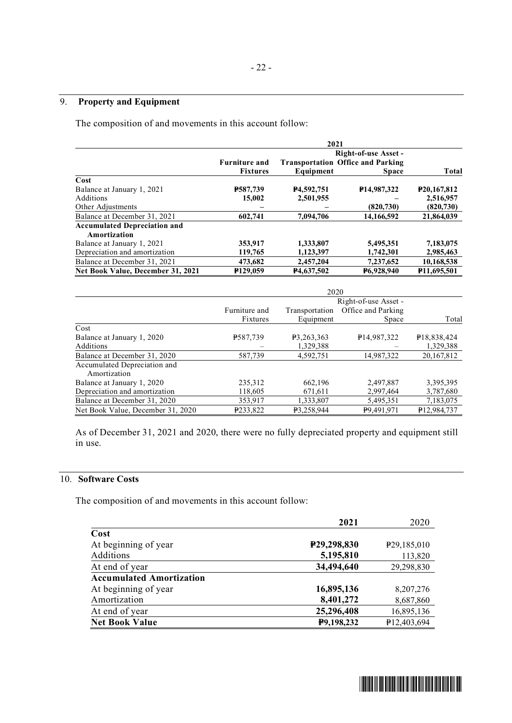# 9. **Property and Equipment**

The composition of and movements in this account follow:

|                                     | 2021                 |                           |                                          |                            |
|-------------------------------------|----------------------|---------------------------|------------------------------------------|----------------------------|
|                                     | Right-of-use Asset - |                           |                                          |                            |
|                                     | <b>Furniture and</b> |                           | <b>Transportation Office and Parking</b> |                            |
|                                     | <b>Fixtures</b>      | Equipment                 | <b>Space</b>                             | Total                      |
| Cost                                |                      |                           |                                          |                            |
| Balance at January 1, 2021          | P587,739             | P <sub>4</sub> , 592, 751 | P <sub>14,987</sub> ,322                 | P <sub>20</sub> , 167, 812 |
| Additions                           | 15,002               | 2,501,955                 |                                          | 2,516,957                  |
| Other Adjustments                   |                      |                           | (820, 730)                               | (820, 730)                 |
| Balance at December 31, 2021        | 602.741              | 7,094,706                 | 14,166,592                               | 21,864,039                 |
| <b>Accumulated Depreciation and</b> |                      |                           |                                          |                            |
| Amortization                        |                      |                           |                                          |                            |
| Balance at January 1, 2021          | 353,917              | 1,333,807                 | 5,495,351                                | 7,183,075                  |
| Depreciation and amortization       | 119,765              | 1,123,397                 | 1,742,301                                | 2,985,463                  |
| Balance at December 31, 2021        | 473,682              | 2,457,204                 | 7,237,652                                | 10,168,538                 |
| Net Book Value, December 31, 2021   | P <sub>129,059</sub> | P <sub>4</sub> ,637,502   | P6,928,940                               | P <sub>11</sub> ,695,501   |

|                                              | 2020                      |                             |                             |                          |
|----------------------------------------------|---------------------------|-----------------------------|-----------------------------|--------------------------|
|                                              | Right-of-use Asset -      |                             |                             |                          |
|                                              | Furniture and<br>Fixtures | Transportation<br>Equipment | Office and Parking<br>Space | Total                    |
| Cost                                         |                           |                             |                             |                          |
| Balance at January 1, 2020                   | P587,739                  | P3,263,363                  | P <sub>14,987</sub> ,322    | P <sub>18</sub> ,838,424 |
| Additions                                    |                           | 1,329,388                   |                             | 1,329,388                |
| Balance at December 31, 2020                 | 587.739                   | 4.592.751                   | 14.987.322                  | 20, 167, 812             |
| Accumulated Depreciation and<br>Amortization |                           |                             |                             |                          |
| Balance at January 1, 2020                   | 235,312                   | 662,196                     | 2,497,887                   | 3,395,395                |
| Depreciation and amortization                | 118,605                   | 671,611                     | 2,997,464                   | 3,787,680                |
| Balance at December 31, 2020                 | 353.917                   | 1,333,807                   | 5.495.351                   | 7,183,075                |
| Net Book Value, December 31, 2020            | P233,822                  | P3,258,944                  | P9,491,971                  | P12,984,737              |

As of December 31, 2021 and 2020, there were no fully depreciated property and equipment still in use.

# 10. **Software Costs**

The composition of and movements in this account follow:

|                                 | 2021        | 2020                     |
|---------------------------------|-------------|--------------------------|
| Cost                            |             |                          |
| At beginning of year            | P29,298,830 | P <sub>29</sub> ,185,010 |
| Additions                       | 5,195,810   | 113,820                  |
| At end of year                  | 34,494,640  | 29,298,830               |
| <b>Accumulated Amortization</b> |             |                          |
| At beginning of year            | 16,895,136  | 8, 207, 276              |
| Amortization                    | 8,401,272   | 8,687,860                |
| At end of year                  | 25,296,408  | 16,895,136               |
| <b>Net Book Value</b>           | P9,198,232  | P12,403,694              |

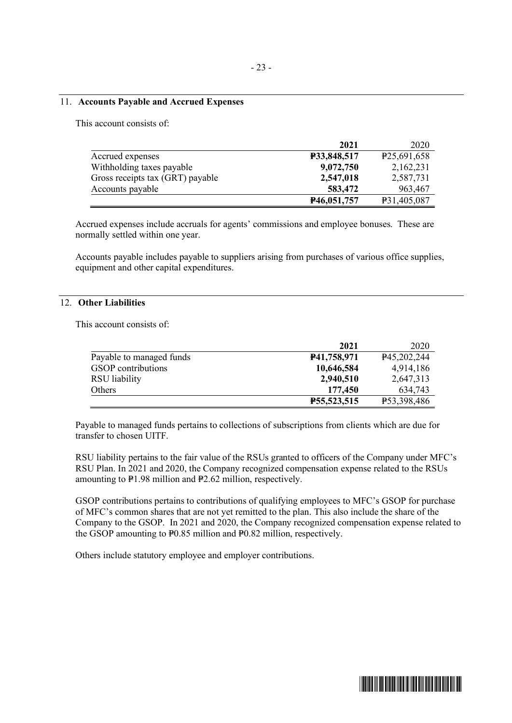#### 11. **Accounts Payable and Accrued Expenses**

This account consists of:

|                                  | 2021                       | 2020                     |
|----------------------------------|----------------------------|--------------------------|
| Accrued expenses                 | <b>P33,848,517</b>         | P <sub>25</sub> ,691,658 |
| Withholding taxes payable        | 9,072,750                  | 2,162,231                |
| Gross receipts tax (GRT) payable | 2,547,018                  | 2,587,731                |
| Accounts payable                 | 583,472                    | 963,467                  |
|                                  | P <sub>46</sub> , 051, 757 | P31,405,087              |

Accrued expenses include accruals for agents' commissions and employee bonuses. These are normally settled within one year.

Accounts payable includes payable to suppliers arising from purchases of various office supplies, equipment and other capital expenditures.

# 12. **Other Liabilities**

This account consists of:

|                           | 2021        | 2020        |
|---------------------------|-------------|-------------|
| Payable to managed funds  | P41,758,971 | P45,202,244 |
| <b>GSOP</b> contributions | 10,646,584  | 4,914,186   |
| RSU liability             | 2,940,510   | 2,647,313   |
| Others                    | 177,450     | 634,743     |
|                           | P55,523,515 | P53,398,486 |

Payable to managed funds pertains to collections of subscriptions from clients which are due for transfer to chosen UITF.

RSU liability pertains to the fair value of the RSUs granted to officers of the Company under MFC's RSU Plan. In 2021 and 2020, the Company recognized compensation expense related to the RSUs amounting to  $P1.98$  million and  $P2.62$  million, respectively.

GSOP contributions pertains to contributions of qualifying employees to MFC's GSOP for purchase of MFC's common shares that are not yet remitted to the plan. This also include the share of the Company to the GSOP. In 2021 and 2020, the Company recognized compensation expense related to the GSOP amounting to  $P0.85$  million and  $P0.82$  million, respectively.

Others include statutory employee and employer contributions.

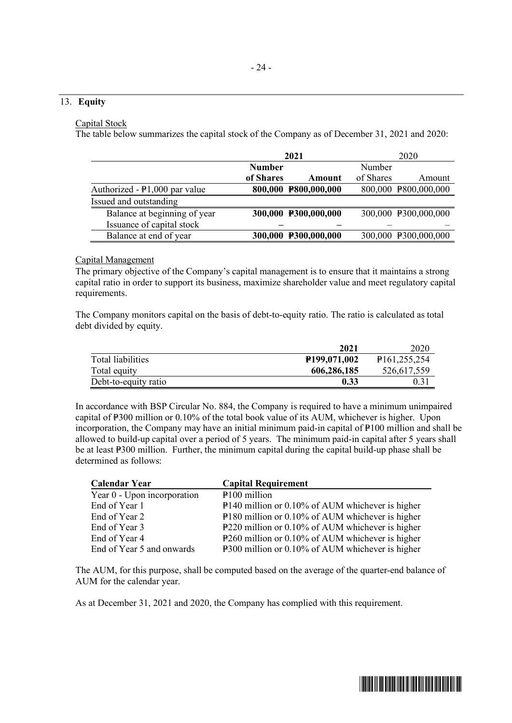## 13. **Equity**

#### Capital Stock

The table below summarizes the capital stock of the Company as of December 31, 2021 and 2020:

|                                        |               | 2021                 |           | 2020                 |
|----------------------------------------|---------------|----------------------|-----------|----------------------|
|                                        | <b>Number</b> |                      | Number    |                      |
|                                        | of Shares     | Amount               | of Shares | Amount               |
| Authorized - $\text{P1,000}$ par value |               | 800,000 P800,000,000 |           | 800,000 P800,000,000 |
| Issued and outstanding                 |               |                      |           |                      |
| Balance at beginning of year           |               | 300,000 P300,000,000 |           | 300,000 P300,000,000 |
| Issuance of capital stock              |               |                      |           |                      |
| Balance at end of year                 |               | 300,000 P300,000,000 |           | 300,000 P300,000,000 |

### Capital Management

The primary objective of the Company's capital management is to ensure that it maintains a strong capital ratio in order to support its business, maximize shareholder value and meet regulatory capital requirements.

The Company monitors capital on the basis of debt-to-equity ratio. The ratio is calculated as total debt divided by equity.

|                      | 2021                      | 2020                        |
|----------------------|---------------------------|-----------------------------|
| Total liabilities    | P <sub>199</sub> ,071,002 | P <sub>161</sub> , 255, 254 |
| Total equity         | 606,286,185               | 526,617,559                 |
| Debt-to-equity ratio | 0.33                      | $0.3^{\circ}$               |

In accordance with BSP Circular No. 884, the Company is required to have a minimum unimpaired capital of P300 million or 0.10% of the total book value of its AUM, whichever is higher. Upon incorporation, the Company may have an initial minimum paid-in capital of  $\text{P}100$  million and shall be allowed to build-up capital over a period of 5 years. The minimum paid-in capital after 5 years shall be at least P300 million. Further, the minimum capital during the capital build-up phase shall be determined as follows:

| <b>Calendar Year</b>        | <b>Capital Requirement</b>                         |
|-----------------------------|----------------------------------------------------|
| Year 0 - Upon incorporation | $P100$ million                                     |
| End of Year 1               | P140 million or 0.10% of AUM whichever is higher   |
| End of Year 2               | $P180$ million or 0.10% of AUM whichever is higher |
| End of Year 3               | P220 million or 0.10% of AUM whichever is higher   |
| End of Year 4               | P260 million or 0.10% of AUM whichever is higher   |
| End of Year 5 and onwards   | P300 million or 0.10% of AUM whichever is higher   |

The AUM, for this purpose, shall be computed based on the average of the quarter-end balance of AUM for the calendar year.

As at December 31, 2021 and 2020, the Company has complied with this requirement.

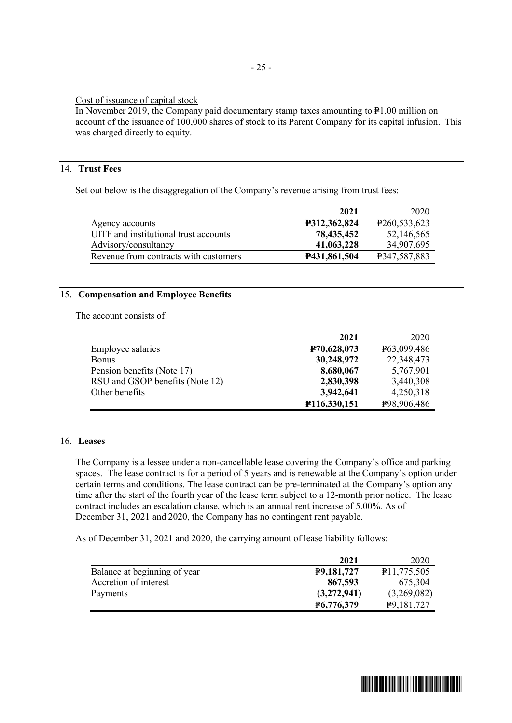### Cost of issuance of capital stock

In November 2019, the Company paid documentary stamp taxes amounting to  $P1.00$  million on account of the issuance of 100,000 shares of stock to its Parent Company for its capital infusion. This was charged directly to equity.

# 14. **Trust Fees**

Set out below is the disaggregation of the Company's revenue arising from trust fees:

|                                       | 2021                | 2020                        |
|---------------------------------------|---------------------|-----------------------------|
| Agency accounts                       | <b>P312,362,824</b> | P <sub>260</sub> , 533, 623 |
| UITF and institutional trust accounts | 78,435,452          | 52,146,565                  |
| Advisory/consultancy                  | 41,063,228          | 34,907,695                  |
| Revenue from contracts with customers | P431,861,504        | P347,587,883                |

### 15. **Compensation and Employee Benefits**

The account consists of:

|                                 | 2021         | 2020        |
|---------------------------------|--------------|-------------|
| Employee salaries               | P70,628,073  | P63,099,486 |
| <b>Bonus</b>                    | 30,248,972   | 22,348,473  |
| Pension benefits (Note 17)      | 8,680,067    | 5,767,901   |
| RSU and GSOP benefits (Note 12) | 2,830,398    | 3,440,308   |
| Other benefits                  | 3,942,641    | 4,250,318   |
|                                 | P116,330,151 | P98,906,486 |

## 16. **Leases**

The Company is a lessee under a non-cancellable lease covering the Company's office and parking spaces. The lease contract is for a period of 5 years and is renewable at the Company's option under certain terms and conditions. The lease contract can be pre-terminated at the Company's option any time after the start of the fourth year of the lease term subject to a 12-month prior notice. The lease contract includes an escalation clause, which is an annual rent increase of 5.00%. As of December 31, 2021 and 2020, the Company has no contingent rent payable.

As of December 31, 2021 and 2020, the carrying amount of lease liability follows:

|                              | 2021                    | 2020                      |
|------------------------------|-------------------------|---------------------------|
| Balance at beginning of year | P9,181,727              | P <sub>11</sub> ,775,505  |
| Accretion of interest        | 867,593                 | 675,304                   |
| Payments                     | (3,272,941)             | (3,269,082)               |
|                              | P <sub>6</sub> ,776,379 | P <sub>9</sub> , 181, 727 |

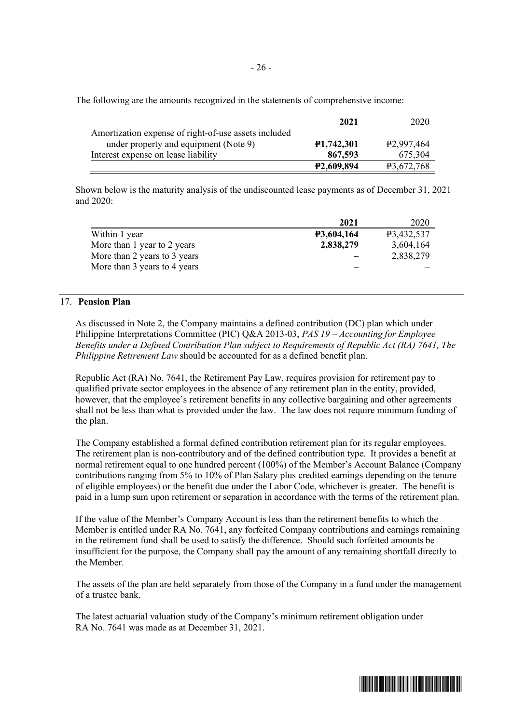The following are the amounts recognized in the statements of comprehensive income:

|                                                      | 2021                    | 2020                    |
|------------------------------------------------------|-------------------------|-------------------------|
| Amortization expense of right-of-use assets included |                         |                         |
| under property and equipment (Note 9)                | <b>P1,742,301</b>       | P <sub>2</sub> ,997,464 |
| Interest expense on lease liability                  | 867,593                 | 675,304                 |
|                                                      | P <sub>2</sub> ,609,894 | P3,672,768              |

Shown below is the maturity analysis of the undiscounted lease payments as of December 31, 2021 and 2020:

|                              | 2021              | 2020       |
|------------------------------|-------------------|------------|
| Within 1 year                | <b>P3,604,164</b> | P3,432,537 |
| More than 1 year to 2 years  | 2,838,279         | 3,604,164  |
| More than 2 years to 3 years |                   | 2,838,279  |
| More than 3 years to 4 years |                   |            |

## 17. **Pension Plan**

As discussed in Note 2, the Company maintains a defined contribution (DC) plan which under Philippine Interpretations Committee (PIC) Q&A 2013-03, *PAS 19 – Accounting for Employee Benefits under a Defined Contribution Plan subject to Requirements of Republic Act (RA) 7641, The Philippine Retirement Law* should be accounted for as a defined benefit plan.

Republic Act (RA) No. 7641, the Retirement Pay Law, requires provision for retirement pay to qualified private sector employees in the absence of any retirement plan in the entity, provided, however, that the employee's retirement benefits in any collective bargaining and other agreements shall not be less than what is provided under the law. The law does not require minimum funding of the plan.

The Company established a formal defined contribution retirement plan for its regular employees. The retirement plan is non-contributory and of the defined contribution type. It provides a benefit at normal retirement equal to one hundred percent (100%) of the Member's Account Balance (Company contributions ranging from 5% to 10% of Plan Salary plus credited earnings depending on the tenure of eligible employees) or the benefit due under the Labor Code, whichever is greater. The benefit is paid in a lump sum upon retirement or separation in accordance with the terms of the retirement plan.

If the value of the Member's Company Account is less than the retirement benefits to which the Member is entitled under RA No. 7641, any forfeited Company contributions and earnings remaining in the retirement fund shall be used to satisfy the difference. Should such forfeited amounts be insufficient for the purpose, the Company shall pay the amount of any remaining shortfall directly to the Member.

The assets of the plan are held separately from those of the Company in a fund under the management of a trustee bank.

The latest actuarial valuation study of the Company's minimum retirement obligation under RA No. 7641 was made as at December 31, 2021.

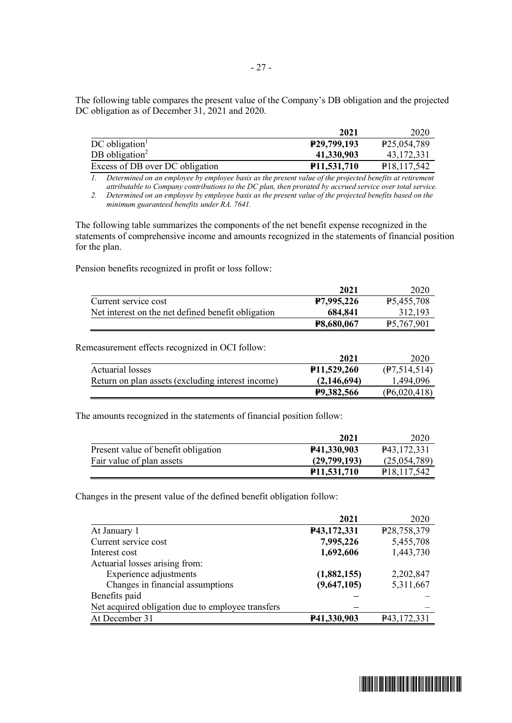The following table compares the present value of the Company's DB obligation and the projected DC obligation as of December 31, 2021 and 2020.

|                                 | 2021                       | 2020                       |
|---------------------------------|----------------------------|----------------------------|
| $DC$ obligation <sup>1</sup>    | P <sub>29</sub> , 799, 193 | P <sub>25</sub> , 054, 789 |
| DB obligation <sup>2</sup>      | 41,330,903                 | 43, 172, 331               |
| Excess of DB over DC obligation | P <sub>11</sub> ,531,710   | P <sub>18</sub> ,117,542   |

*1. Determined on an employee by employee basis as the present value of the projected benefits at retirement attributable to Company contributions to the DC plan, then prorated by accrued service over total service.*

*2. Determined on an employee by employee basis as the present value of the projected benefits based on the minimum guaranteed benefits under RA. 7641.*

The following table summarizes the components of the net benefit expense recognized in the statements of comprehensive income and amounts recognized in the statements of financial position for the plan.

Pension benefits recognized in profit or loss follow:

|                                                    | 2021              | 2020                    |
|----------------------------------------------------|-------------------|-------------------------|
| Current service cost                               | P7,995,226        | P <sub>5</sub> ,455,708 |
| Net interest on the net defined benefit obligation | 684,841           | 312,193                 |
|                                                    | <b>P8,680,067</b> | <b>P5,767,901</b>       |

Remeasurement effects recognized in OCI follow:

|                                                   | 2021                     | 2020                    |
|---------------------------------------------------|--------------------------|-------------------------|
| Actuarial losses                                  | P <sub>11</sub> ,529,260 | (P7,514,514)            |
| Return on plan assets (excluding interest income) | (2,146,694)              | 1,494,096               |
|                                                   | P9,382,566               | $(\text{P6}, 020, 418)$ |

The amounts recognized in the statements of financial position follow:

|                                     | 2021                     | 2020                       |
|-------------------------------------|--------------------------|----------------------------|
| Present value of benefit obligation | P41,330,903              | P <sub>43</sub> , 172, 331 |
| Fair value of plan assets           | (29,799,193)             | (25,054,789)               |
|                                     | P <sub>11</sub> ,531,710 | P <sub>18</sub> , 117, 542 |

Changes in the present value of the defined benefit obligation follow:

|                                                   | 2021        | 2020        |
|---------------------------------------------------|-------------|-------------|
| At January 1                                      | P43,172,331 | P28,758,379 |
| Current service cost                              | 7,995,226   | 5,455,708   |
| Interest cost                                     | 1,692,606   | 1,443,730   |
| Actuarial losses arising from:                    |             |             |
| Experience adjustments                            | (1,882,155) | 2,202,847   |
| Changes in financial assumptions                  | (9,647,105) | 5,311,667   |
| Benefits paid                                     |             |             |
| Net acquired obligation due to employee transfers |             |             |
| At December 31                                    | P41,330,903 | P43,172,331 |

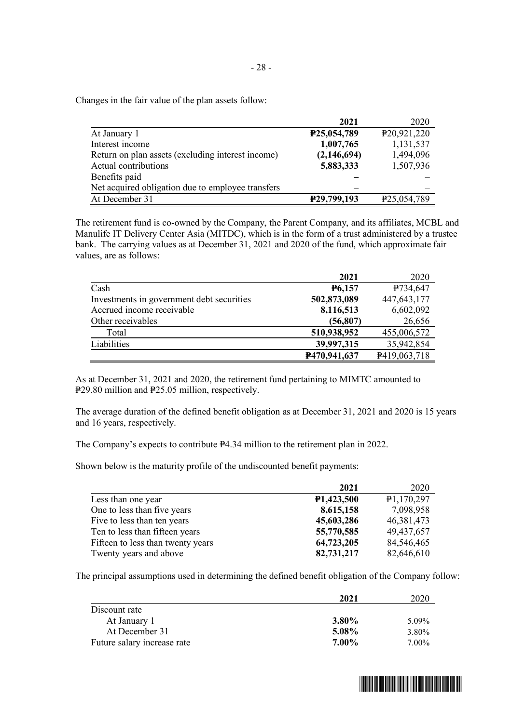Changes in the fair value of the plan assets follow:

|                                                   | 2021        | 2020                       |
|---------------------------------------------------|-------------|----------------------------|
| At January 1                                      | P25,054,789 | P <sub>20</sub> , 921, 220 |
| Interest income                                   | 1,007,765   | 1,131,537                  |
| Return on plan assets (excluding interest income) | (2,146,694) | 1,494,096                  |
| Actual contributions                              | 5,883,333   | 1,507,936                  |
| Benefits paid                                     |             |                            |
| Net acquired obligation due to employee transfers |             |                            |
| At December 31                                    | P29,799,193 | P <sub>25</sub> , 054, 789 |

The retirement fund is co-owned by the Company, the Parent Company, and its affiliates, MCBL and Manulife IT Delivery Center Asia (MITDC), which is in the form of a trust administered by a trustee bank. The carrying values as at December 31, 2021 and 2020 of the fund, which approximate fair values, are as follows:

|                                           | 2021          | 2020          |
|-------------------------------------------|---------------|---------------|
| Cash                                      | <b>P6,157</b> | P734,647      |
| Investments in government debt securities | 502,873,089   | 447, 643, 177 |
| Accrued income receivable                 | 8,116,513     | 6,602,092     |
| Other receivables                         | (56, 807)     | 26,656        |
| Total                                     | 510,938,952   | 455,006,572   |
| Liabilities                               | 39,997,315    | 35,942,854    |
|                                           | P470,941,637  | P419,063,718  |

As at December 31, 2021 and 2020, the retirement fund pertaining to MIMTC amounted to P29.80 million and P25.05 million, respectively.

The average duration of the defined benefit obligation as at December 31, 2021 and 2020 is 15 years and 16 years, respectively.

The Company's expects to contribute P4.34 million to the retirement plan in 2022.

Shown below is the maturity profile of the undiscounted benefit payments:

|                                   | 2021                    | 2020         |
|-----------------------------------|-------------------------|--------------|
| Less than one year                | P <sub>1</sub> ,423,500 | P1,170,297   |
| One to less than five years       | 8,615,158               | 7,098,958    |
| Five to less than ten years       | 45,603,286              | 46, 381, 473 |
| Ten to less than fifteen years    | 55,770,585              | 49,437,657   |
| Fifteen to less than twenty years | 64,723,205              | 84,546,465   |
| Twenty years and above            | 82,731,217              | 82,646,610   |

The principal assumptions used in determining the defined benefit obligation of the Company follow:

|                             | 2021     | 2020  |
|-----------------------------|----------|-------|
| Discount rate               |          |       |
| At January 1                | $3.80\%$ | 5.09% |
| At December 31              | 5.08%    | 3.80% |
| Future salary increase rate | $7.00\%$ | 7.00% |

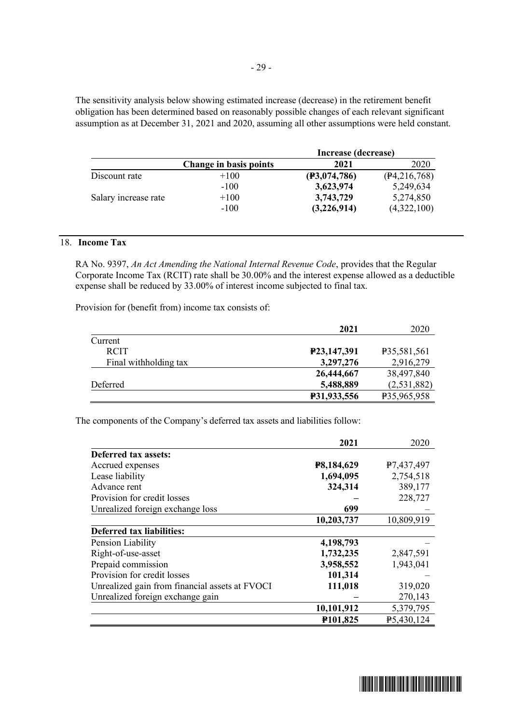The sensitivity analysis below showing estimated increase (decrease) in the retirement benefit obligation has been determined based on reasonably possible changes of each relevant significant assumption as at December 31, 2021 and 2020, assuming all other assumptions were held constant.

|                      |                        | Increase (decrease) |              |
|----------------------|------------------------|---------------------|--------------|
|                      | Change in basis points | 2021                | 2020         |
| Discount rate        | $+100$                 | (F3,074,786)        | (P4,216,768) |
|                      | $-100$                 | 3,623,974           | 5,249,634    |
| Salary increase rate | $+100$                 | 3,743,729           | 5,274,850    |
|                      | $-100$                 | (3,226,914)         | (4,322,100)  |

# 18. **Income Tax**

RA No. 9397, *An Act Amending the National Internal Revenue Code*, provides that the Regular Corporate Income Tax (RCIT) rate shall be 30.00% and the interest expense allowed as a deductible expense shall be reduced by 33.00% of interest income subjected to final tax.

Provision for (benefit from) income tax consists of:

|                       | 2021        | 2020        |
|-----------------------|-------------|-------------|
| Current               |             |             |
| <b>RCIT</b>           | P23,147,391 | P35,581,561 |
| Final withholding tax | 3,297,276   | 2,916,279   |
|                       | 26,444,667  | 38,497,840  |
| Deferred              | 5,488,889   | (2,531,882) |
|                       | P31,933,556 | P35,965,958 |

The components of the Company's deferred tax assets and liabilities follow:

|                                                | 2021       | 2020       |
|------------------------------------------------|------------|------------|
| Deferred tax assets:                           |            |            |
| Accrued expenses                               | P8,184,629 | P7,437,497 |
| Lease liability                                | 1,694,095  | 2,754,518  |
| Advance rent                                   | 324,314    | 389,177    |
| Provision for credit losses                    |            | 228,727    |
| Unrealized foreign exchange loss               | 699        |            |
|                                                | 10,203,737 | 10,809,919 |
| <b>Deferred tax liabilities:</b>               |            |            |
| Pension Liability                              | 4,198,793  |            |
| Right-of-use-asset                             | 1,732,235  | 2,847,591  |
| Prepaid commission                             | 3,958,552  | 1,943,041  |
| Provision for credit losses                    | 101,314    |            |
| Unrealized gain from financial assets at FVOCI | 111,018    | 319,020    |
| Unrealized foreign exchange gain               |            | 270,143    |
|                                                | 10,101,912 | 5,379,795  |
|                                                | P101,825   | P5,430,124 |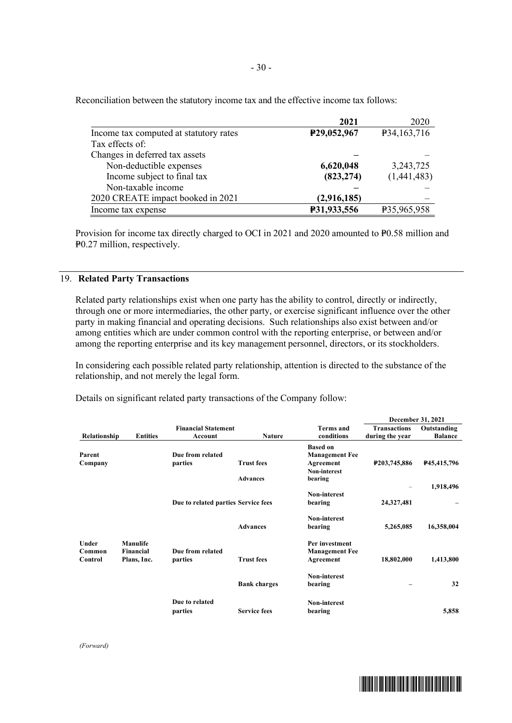|                                        | 2021                     | 2020        |
|----------------------------------------|--------------------------|-------------|
| Income tax computed at statutory rates | P <sub>29</sub> ,052,967 | P34,163,716 |
| Tax effects of:                        |                          |             |
| Changes in deferred tax assets         |                          |             |
| Non-deductible expenses                | 6,620,048                | 3, 243, 725 |
| Income subject to final tax            | (823, 274)               | (1,441,483) |
| Non-taxable income                     |                          |             |
| 2020 CREATE impact booked in 2021      | (2,916,185)              |             |
| Income tax expense                     | P31,933,556              | P35,965,958 |

Reconciliation between the statutory income tax and the effective income tax follows:

Provision for income tax directly charged to OCI in 2021 and 2020 amounted to P0.58 million and P<sub>0.27</sub> million, respectively.

# 19. **Related Party Transactions**

Related party relationships exist when one party has the ability to control, directly or indirectly, through one or more intermediaries, the other party, or exercise significant influence over the other party in making financial and operating decisions. Such relationships also exist between and/or among entities which are under common control with the reporting enterprise, or between and/or among the reporting enterprise and its key management personnel, directors, or its stockholders.

In considering each possible related party relationship, attention is directed to the substance of the relationship, and not merely the legal form.

Details on significant related party transactions of the Company follow:

|                   |                              |                                       |                     |                                         |                                        | December 31, 2021             |
|-------------------|------------------------------|---------------------------------------|---------------------|-----------------------------------------|----------------------------------------|-------------------------------|
| Relationship      | <b>Entities</b>              | <b>Financial Statement</b><br>Account | <b>Nature</b>       | Terms and<br>conditions                 | <b>Transactions</b><br>during the year | Outstanding<br><b>Balance</b> |
|                   |                              | Due from related                      |                     | <b>Based on</b>                         |                                        |                               |
| Parent<br>Company |                              | parties                               | <b>Trust fees</b>   | <b>Management Fee</b><br>Agreement      | P203,745,886                           | P <sub>45</sub> , 415, 796    |
|                   |                              |                                       |                     | Non-interest                            |                                        |                               |
|                   |                              |                                       | <b>Advances</b>     | bearing                                 |                                        | 1,918,496                     |
|                   |                              |                                       |                     | Non-interest                            | $\qquad \qquad =$                      |                               |
|                   |                              | Due to related parties Service fees   |                     | bearing                                 | 24,327,481                             |                               |
|                   |                              |                                       |                     | Non-interest                            |                                        |                               |
|                   |                              |                                       | <b>Advances</b>     | bearing                                 | 5,265,085                              | 16,358,004                    |
| Under<br>Common   | Manulife<br><b>Financial</b> | Due from related                      |                     | Per investment<br><b>Management Fee</b> |                                        |                               |
| Control           | Plans, Inc.                  | parties                               | <b>Trust fees</b>   | Agreement                               | 18,802,000                             | 1,413,800                     |
|                   |                              |                                       |                     | Non-interest                            |                                        |                               |
|                   |                              |                                       | <b>Bank charges</b> | bearing                                 |                                        | 32                            |
|                   |                              | Due to related                        |                     | Non-interest                            |                                        |                               |
|                   |                              | parties                               | <b>Service fees</b> | bearing                                 |                                        | 5,858                         |

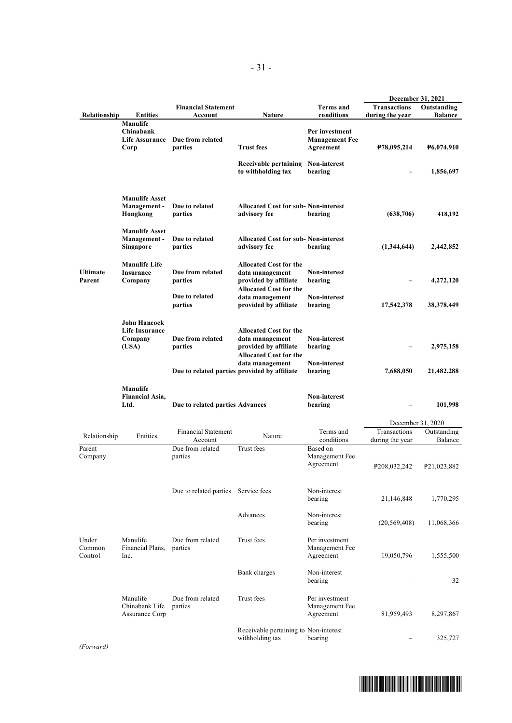|                            |                                                           |                                       |                                                                                                            |                                                      | December 31, 2021                      |                               |
|----------------------------|-----------------------------------------------------------|---------------------------------------|------------------------------------------------------------------------------------------------------------|------------------------------------------------------|----------------------------------------|-------------------------------|
| Relationship               | <b>Entities</b>                                           | <b>Financial Statement</b><br>Account | <b>Nature</b>                                                                                              | <b>Terms</b> and<br>conditions                       | <b>Transactions</b><br>during the year | Outstanding<br><b>Balance</b> |
|                            | <b>Manulife</b><br>Chinabank<br>Life Assurance<br>Corp    | Due from related<br>parties           | <b>Trust fees</b>                                                                                          | Per investment<br><b>Management Fee</b><br>Agreement | P78,095,214                            | <b>P6,074,910</b>             |
|                            |                                                           |                                       | Receivable pertaining<br>to withholding tax                                                                | Non-interest<br>bearing                              |                                        | 1,856,697                     |
|                            | <b>Manulife Asset</b><br>Management-<br>Hongkong          | Due to related<br>parties             | <b>Allocated Cost for sub-Non-interest</b><br>advisory fee                                                 | bearing                                              | (638, 706)                             | 418,192                       |
|                            | <b>Manulife Asset</b><br>Management-<br>Singapore         | Due to related<br>parties             | <b>Allocated Cost for sub- Non-interest</b><br>advisory fee                                                | bearing                                              | (1,344,644)                            | 2,442,852                     |
| <b>Ultimate</b><br>Parent  | <b>Manulife Life</b><br><b>Insurance</b><br>Company       | Due from related<br>parties           | <b>Allocated Cost for the</b><br>data management<br>provided by affiliate                                  | <b>Non-interest</b><br>bearing                       |                                        | 4,272,120                     |
|                            |                                                           | Due to related<br>parties             | <b>Allocated Cost for the</b><br>data management<br>provided by affiliate                                  | <b>Non-interest</b><br>bearing                       | 17,542,378                             | 38,378,449                    |
|                            | <b>John Hancock</b><br>Life Insurance<br>Company<br>(USA) | Due from related<br>parties           | <b>Allocated Cost for the</b><br>data management<br>provided by affiliate<br><b>Allocated Cost for the</b> | Non-interest<br>bearing                              |                                        | 2,975,158                     |
|                            |                                                           |                                       | data management<br>Due to related parties provided by affiliate                                            | <b>Non-interest</b><br>bearing                       | 7,688,050                              | 21,482,288                    |
|                            | Manulife<br><b>Financial Asia,</b><br>Ltd.                | Due to related parties Advances       |                                                                                                            | Non-interest<br>bearing                              |                                        | 101,998                       |
|                            |                                                           |                                       |                                                                                                            |                                                      | December 31, 2020                      |                               |
| Relationship               | Entities                                                  | <b>Financial Statement</b><br>Account | Nature                                                                                                     | Terms and<br>conditions                              | Transactions<br>during the year        | Outstanding<br>Balance        |
| Parent<br>Company          |                                                           | Due from related<br>parties           | Trust fees                                                                                                 | Based on<br>Management Fee<br>Agreement              | P <sub>208</sub> , 032, 242            | P <sub>21</sub> ,023,882      |
|                            |                                                           | Due to related parties Service fees   |                                                                                                            | Non-interest<br>bearing                              | 21,146,848                             | 1,770,295                     |
|                            |                                                           |                                       | Advances                                                                                                   | Non-interest<br>bearing                              | (20, 569, 408)                         | 11,068,366                    |
| Under<br>Common<br>Control | Manulife<br>Financial Plans,<br>Inc.                      | Due from related<br>parties           | Trust fees                                                                                                 | Per investment<br>Management Fee<br>Agreement        | 19,050,796                             | 1,555,500                     |
|                            |                                                           |                                       | Bank charges                                                                                               | Non-interest<br>bearing                              |                                        | 32                            |
|                            | Manulife<br>Chinabank Life<br>Assurance Corp              | Due from related<br>parties           | Trust fees                                                                                                 | Per investment<br>Management Fee<br>Agreement        | 81,959,493                             | 8,297,867                     |
|                            |                                                           |                                       | Receivable pertaining to Non-interest<br>withholding tax                                                   | bearing                                              | $\qquad \qquad -$                      | 325,727                       |

*(Forward)*

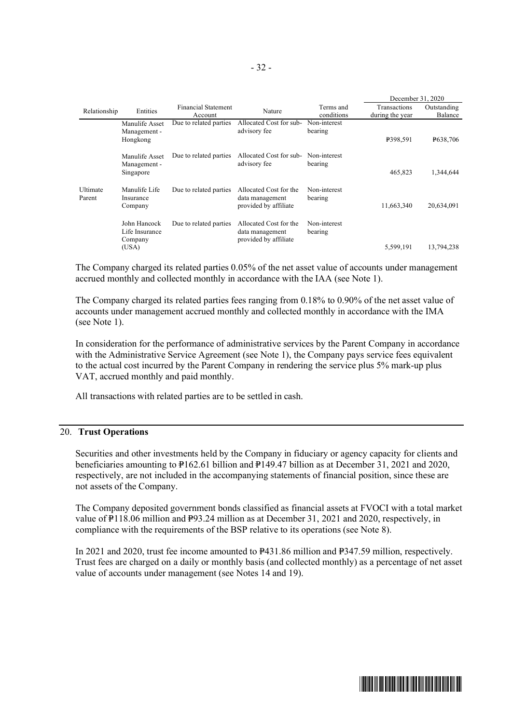|                    |                                                    |                                       |                                                                    |                         | December 31, 2020                      |                        |
|--------------------|----------------------------------------------------|---------------------------------------|--------------------------------------------------------------------|-------------------------|----------------------------------------|------------------------|
| Relationship       | Entities                                           | <b>Financial Statement</b><br>Account | Nature                                                             | Terms and<br>conditions | <b>Transactions</b><br>during the year | Outstanding<br>Balance |
|                    | Manulife Asset<br>Management -<br>Hongkong         | Due to related parties                | Allocated Cost for sub-<br>advisory fee                            | Non-interest<br>bearing | P398,591                               | <b>P638,706</b>        |
|                    | Manulife Asset<br>Management -<br>Singapore        | Due to related parties                | Allocated Cost for sub-<br>advisory fee                            | Non-interest<br>bearing | 465.823                                | 1,344,644              |
| Ultimate<br>Parent | Manulife Life<br>Insurance<br>Company              | Due to related parties                | Allocated Cost for the<br>data management<br>provided by affiliate | Non-interest<br>bearing | 11,663,340                             | 20,634,091             |
|                    | John Hancock<br>Life Insurance<br>Company<br>(USA) | Due to related parties                | Allocated Cost for the<br>data management<br>provided by affiliate | Non-interest<br>bearing | 5,599,191                              | 13,794,238             |

The Company charged its related parties 0.05% of the net asset value of accounts under management accrued monthly and collected monthly in accordance with the IAA (see Note 1).

The Company charged its related parties fees ranging from 0.18% to 0.90% of the net asset value of accounts under management accrued monthly and collected monthly in accordance with the IMA (see Note 1).

In consideration for the performance of administrative services by the Parent Company in accordance with the Administrative Service Agreement (see Note 1), the Company pays service fees equivalent to the actual cost incurred by the Parent Company in rendering the service plus 5% mark-up plus VAT, accrued monthly and paid monthly.

All transactions with related parties are to be settled in cash.

#### 20. **Trust Operations**

Securities and other investments held by the Company in fiduciary or agency capacity for clients and beneficiaries amounting to P162.61 billion and P149.47 billion as at December 31, 2021 and 2020, respectively, are not included in the accompanying statements of financial position, since these are not assets of the Company.

The Company deposited government bonds classified as financial assets at FVOCI with a total market value of  $\overline{P}118.06$  million and P93.24 million as at December 31, 2021 and 2020, respectively, in compliance with the requirements of the BSP relative to its operations (see Note 8).

In 2021 and 2020, trust fee income amounted to  $P_{431.86}$  million and  $P_{347.59}$  million, respectively. Trust fees are charged on a daily or monthly basis (and collected monthly) as a percentage of net asset value of accounts under management (see Notes 14 and 19).

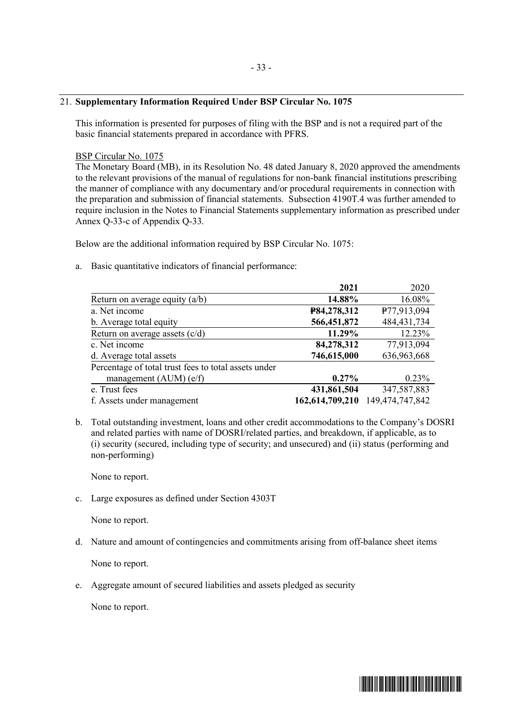#### - 33 -

#### 21. **Supplementary Information Required Under BSP Circular No. 1075**

This information is presented for purposes of filing with the BSP and is not a required part of the basic financial statements prepared in accordance with PFRS.

#### BSP Circular No. 1075

The Monetary Board (MB), in its Resolution No. 48 dated January 8, 2020 approved the amendments to the relevant provisions of the manual of regulations for non-bank financial institutions prescribing the manner of compliance with any documentary and/or procedural requirements in connection with the preparation and submission of financial statements. Subsection 4190T.4 was further amended to require inclusion in the Notes to Financial Statements supplementary information as prescribed under Annex Q-33-c of Appendix Q-33.

Below are the additional information required by BSP Circular No. 1075:

a. Basic quantitative indicators of financial performance:

|                                                      | 2021            | 2020            |
|------------------------------------------------------|-----------------|-----------------|
| Return on average equity $(a/b)$                     | 14.88%          | 16.08%          |
| a. Net income                                        | P84,278,312     | P77,913,094     |
| b. Average total equity                              | 566,451,872     | 484, 431, 734   |
| Return on average assets $(c/d)$                     | 11.29%          | 12.23%          |
| c. Net income                                        | 84,278,312      | 77,913,094      |
| d. Average total assets                              | 746,615,000     | 636,963,668     |
| Percentage of total trust fees to total assets under |                 |                 |
| management $(AUM)$ (e/f)                             | $0.27\%$        | 0.23%           |
| e. Trust fees                                        | 431,861,504     | 347,587,883     |
| f. Assets under management                           | 162,614,709,210 | 149,474,747,842 |

b. Total outstanding investment, loans and other credit accommodations to the Company's DOSRI and related parties with name of DOSRI/related parties, and breakdown, if applicable, as to (i) security (secured, including type of security; and unsecured) and (ii) status (performing and non-performing)

None to report.

c. Large exposures as defined under Section 4303T

None to report.

d. Nature and amount of contingencies and commitments arising from off-balance sheet items

None to report.

e. Aggregate amount of secured liabilities and assets pledged as security

None to report.